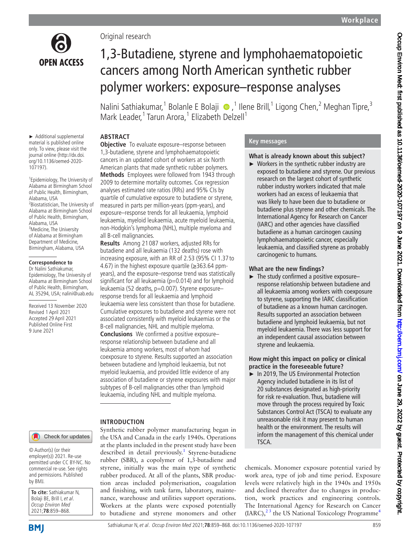

Original research

1,3-butadiene, styrene and lymphohaematopoietic cancers in an updated cohort of workers at six North American plants that made synthetic rubber polymers. **Methods** Employees were followed from 1943 through 2009 to determine mortality outcomes. Cox regression analyses estimated rate ratios (RRs) and 95% CIs by quartile of cumulative exposure to butadiene or styrene, measured in parts per million-years (ppm-years), and exposure–response trends for all leukaemia, lymphoid leukaemia, myeloid leukaemia, acute myeloid leukaemia, non-Hodgkin's lymphoma (NHL), multiple myeloma and

**Results** Among 21 087 workers, adjusted RRs for butadiene and all leukaemia (132 deaths) rose with increasing exposure, with an RR of 2.53 (95% CI 1.37 to 4.67) in the highest exposure quartile  $(\geq 363.64$  ppmyears), and the exposure–response trend was statistically significant for all leukaemia ( $p=0.014$ ) and for lymphoid leukaemia (52 deaths, p=0.007). Styrene exposureresponse trends for all leukaemia and lymphoid leukaemia were less consistent than those for butadiene. Cumulative exposures to butadiene and styrene were not associated consistently with myeloid leukaemias or the B-cell malignancies, NHL and multiple myeloma. **Conclusions** We confirmed a positive exposure– response relationship between butadiene and all leukaemia among workers, most of whom had coexposure to styrene. Results supported an association between butadiene and lymphoid leukaemia, but not myeloid leukaemia, and provided little evidence of any association of butadiene or styrene exposures with major subtypes of B-cell malignancies other than lymphoid leukaemia, including NHL and multiple myeloma.

Synthetic rubber polymer manufacturing began in the USA and Canada in the early 1940s. Operations at the plants included in the present study have been described in detail previously.<sup>[1](#page-9-0)</sup> Styrene-butadiene rubber (SBR), a copolymer of 1,3-butadiene and styrene, initially was the main type of synthetic rubber produced. At all of the plants, SBR production areas included polymerisation, coagulation and finishing, with tank farm, laboratory, maintenance, warehouse and utilities support operations. Workers at the plants were exposed potentially to butadiene and styrene monomers and other

# 1,3-Butadiene, styrene and lymphohaematopoietic cancers among North American synthetic rubber polymer workers: exposure–response analyses

NaliniSathiakumar,<sup>1</sup> Bolanle E Bolaji ®,<sup>1</sup> Ilene Brill,<sup>1</sup> Ligong Chen,<sup>2</sup> Meghan Tipre,<sup>3</sup> Mark Leader,<sup>1</sup> Tarun Arora,<sup>1</sup> Elizabeth Delzell<sup>1</sup>

#### **ABSTRACT Objective** To evaluate exposure–response between

all B-cell malignancies.

**INTRODUCTION**

► Additional supplemental material is published online only. To view, please visit the journal online (http://dx.doi. org/10.1136/oemed-2020- 107197).

1 Epidemiology, The University of Alabama at Birmingham School of Public Health, Birmingham, Alabama, USA 2 Biostatistician, The University of Alabama at Birmingham School of Public Health, Birmingham, Alabama, USA <sup>3</sup>Medicine, The University of Alabama at Birmingham Department of Medicine, Birmingham, Alabama, USA

# **Correspondence to**

Dr Nalini Sathiakumar, Epidemiology, The University of Alabama at Birmingham School of Public Health, Birmingham, AL 35294, USA; nalini@uab.edu

Received 13 November 2020 Revised 1 April 2021 Accepted 29 April 2021 Published Online First 9 June 2021

#### Check for updates

© Author(s) (or their employer(s)) 2021. Re-use permitted under CC BY-NC. No commercial re-use. See rights and permissions. Published by BMJ.

| To cite: Sathiakumar N,    |
|----------------------------|
| Bolaji BE, Brill I, et al. |
| Occup Environ Med          |
| 2021;78:859-868.           |

# **Key messages**

# **What is already known about this subject?**

► Workers in the synthetic rubber industry are exposed to butadiene and styrene. Our previous research on the largest cohort of synthetic rubber industry workers indicated that male workers had an excess of leukaemia that was likely to have been due to butadiene or butadiene plus styrene and other chemicals. The International Agency for Research on Cancer (IARC) and other agencies have classified butadiene as a human carcinogen causing lymphohaematopoietic cancer, especially leukaemia, and classified styrene as probably carcinogenic to humans.

#### **What are the new findings?**

 $\blacktriangleright$  The study confirmed a positive exposure– response relationship between butadiene and all leukaemia among workers with coexposure to styrene, supporting the IARC classification of butadiene as a known human carcinogen. Results supported an association between butadiene and lymphoid leukaemia, but not myeloid leukaemia. There was less support for an independent causal association between styrene and leukaemia.

#### **How might this impact on policy or clinical practice in the foreseeable future?**

► In 2019, The US Environmental Protection Agency included butadiene in its list of 20 substances designated as high-priority for risk re-evaluation. Thus, butadiene will move through the process required by Toxic Substances Control Act (TSCA) to evaluate any unreasonable risk it may present to human health or the environment. The results will inform the management of this chemical under TSCA.

chemicals. Monomer exposure potential varied by work area, type of job and time period. Exposure levels were relatively high in the 1940s and 1950s and declined thereafter due to changes in production, work practices and engineering controls. The International Agency for Research on Cancer  $(IARC)$ ,  $^{23}$  the US National Toxicology Programme<sup>[4](#page-9-2)</sup>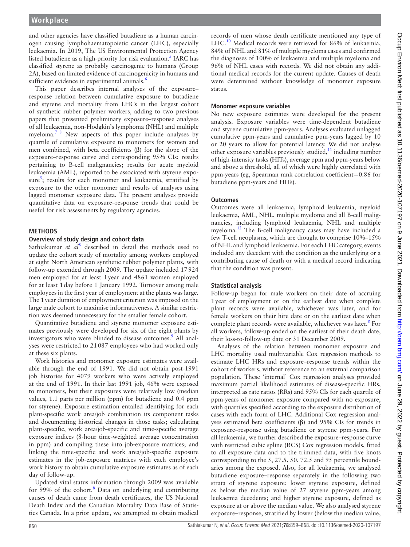and other agencies have classified butadiene as a human carcinogen causing lymphohaematopoietic cancer (LHC), especially leukaemia. In 2019, The US Environmental Protection Agency listed butadiene as a high-priority for risk evaluation.<sup>5</sup> IARC has classified styrene as probably carcinogenic to humans (Group 2A), based on limited evidence of carcinogenicity in humans and sufficient evidence in experimental animals.<sup>[6](#page-9-4)</sup>

This paper describes internal analyses of the exposure– response relation between cumulative exposure to butadiene and styrene and mortality from LHCs in the largest cohort of synthetic rubber polymer workers, adding to two previous papers that presented preliminary exposure–response analyses of all leukaemia, non-Hodgkin's lymphoma (NHL) and multiple myeloma.[7 8](#page-9-5) New aspects of this paper include analyses by quartile of cumulative exposure to monomers for women and men combined, with beta coefficients (β) for the slope of the exposure–response curve and corresponding 95% CIs; results pertaining to B-cell malignancies; results for acute myeloid leukaemia (AML), reported to be associated with styrene expo-sure<sup>[5](#page-9-3)</sup>; results for each monomer and leukaemia, stratified by exposure to the other monomer and results of analyses using lagged monomer exposure data. The present analyses provide quantitative data on exposure–response trends that could be useful for risk assessments by regulatory agencies.

# **METHODS**

#### **Overview of study design and cohort data**

Sathiakumar et al<sup>[8](#page-9-6)</sup> described in detail the methods used to update the cohort study of mortality among workers employed at eight North American synthetic rubber polymer plants, with follow-up extended through 2009. The update included 17924 men employed for at least 1year and 4861 women employed for at least 1day before 1 January 1992. Turnover among male employees in the first year of employment at the plants was large. The 1year duration of employment criterion was imposed on the large male cohort to maximise informativeness. A similar restriction was deemed unnecessary for the smaller female cohort.

Quantitative butadiene and styrene monomer exposure estimates previously were developed for six of the eight plants by investigators who were blinded to disease outcomes.<sup>[9](#page-9-7)</sup> All analyses were restricted to 21087 employees who had worked only at these six plants.

Work histories and monomer exposure estimates were available through the end of 1991. We did not obtain post-1991 job histories for 4079 workers who were actively employed at the end of 1991. In their last 1991 job, 46% were exposed to monomers, but their exposures were relatively low (median values, 1.1 parts per million (ppm) for butadiene and 0.4 ppm for styrene). Exposure estimation entailed identifying for each plant-specific work area/job combination its component tasks and documenting historical changes in those tasks; calculating plant-specific, work area/job-specific and time-specific average exposure indices (8-hour time-weighted average concentration in ppm) and compiling these into job-exposure matrices; and linking the time-specific and work area/job-specific exposure estimates in the job-exposure matrices with each employee's work history to obtain cumulative exposure estimates as of each day of follow-up.

Updated vital status information through 2009 was available for 99% of the cohort.<sup>[8](#page-9-6)</sup> Data on underlying and contributing causes of death came from death certificates, the US National Death Index and the Canadian Mortality Data Base of Statistics Canada. In a prior update, we attempted to obtain medical

records of men whose death certificate mentioned any type of LHC.<sup>[10](#page-9-8)</sup> Medical records were retrieved for 86% of leukaemia, 84% of NHL and 81% of multiple myeloma cases and confirmed the diagnoses of 100% of leukaemia and multiple myeloma and 96% of NHL cases with records. We did not obtain any additional medical records for the current update. Causes of death were determined without knowledge of monomer exposure status.

#### **Monomer exposure variables**

No new exposure estimates were developed for the present analysis. Exposure variables were time-dependent butadiene and styrene cumulative ppm-years. Analyses evaluated unlagged cumulative ppm-years and cumulative ppm-years lagged by 10 or 20 years to allow for potential latency. We did not analyse other exposure variables previously studied, $11$  including number of high-intensity tasks (HITs), average ppm and ppm-years below and above a threshold, all of which were highly correlated with ppm-years (eg, Spearman rank correlation coefficient=0.86 for butadiene ppm-years and HITs).

#### **Outcomes**

Outcomes were all leukaemia, lymphoid leukaemia, myeloid leukaemia, AML, NHL, multiple myeloma and all B-cell malignancies, including lymphoid leukaemia, NHL and multiple myeloma.[12](#page-9-10) The B-cell malignancy cases may have included a few T-cell neoplasms, which are thought to comprise 10%–15% of NHL and lymphoid leukaemia. For each LHC category, events included any decedent with the condition as the underlying or a contributing cause of death or with a medical record indicating that the condition was present.

#### **Statistical analysis**

Follow-up began for male workers on their date of accruing 1year of employment or on the earliest date when complete plant records were available, whichever was later, and for female workers on their hire date or on the earliest date when complete plant records were available, whichever was later.<sup>8</sup> For all workers, follow-up ended on the earliest of their death date, their loss-to-follow-up date or 31 December 2009.

Analyses of the relation between monomer exposure and LHC mortality used multivariable Cox regression methods to estimate LHC HRs and exposure–response trends within the cohort of workers, without reference to an external comparison population. These 'internal' Cox regression analyses provided maximum partial likelihood estimates of disease-specific HRs, interpreted as rate ratios (RRs) and 95% CIs for each quartile of ppm-years of monomer exposure compared with no exposure, with quartiles specified according to the exposure distribution of cases with each form of LHC. Additional Cox regression analyses estimated beta coefficients (β) and 95% CIs for trends in exposure–response using butadiene or styrene ppm-years. For all leukaemia, we further described the exposure–response curve with restricted cubic spline (RCS) Cox regression models, fitted to all exposure data and to the trimmed data, with five knots corresponding to the 5, 27.5, 50, 72.5 and 95 percentile boundaries among the exposed. Also, for all leukaemia, we analysed butadiene exposure–response separately in the following two strata of styrene exposure: lower styrene exposure, defined as below the median value of 27 styrene ppm-years among leukaemia decedents; and higher styrene exposure, defined as exposure at or above the median value. We also analysed styrene exposure–response, stratified by lower (below the median value,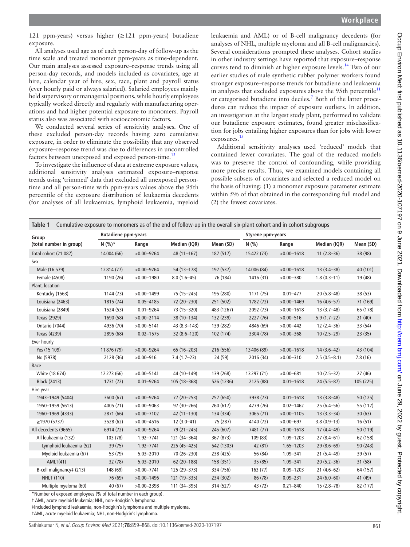121 ppm-years) versus higher (≥121 ppm-years) butadiene exposure.

All analyses used age as of each person-day of follow-up as the time scale and treated monomer ppm-years as time-dependent. Our main analyses assessed exposure–response trends using all person-day records, and models included as covariates, age at hire, calendar year of hire, sex, race, plant and payroll status (ever hourly paid or always salaried). Salaried employees mainly held supervisory or managerial positions, while hourly employees typically worked directly and regularly with manufacturing operations and had higher potential exposure to monomers. Payroll status also was associated with socioeconomic factors.

We conducted several series of sensitivity analyses. One of these excluded person-day records having zero cumulative exposure, in order to eliminate the possibility that any observed exposure–response trend was due to differences in uncontrolled factors between unexposed and exposed person-time.<sup>13</sup>

To investigate the influence of data at extreme exposure values, additional sensitivity analyses estimated exposure–response trends using 'trimmed' data that excluded all unexposed persontime and all person-time with ppm-years values above the 95th percentile of the exposure distribution of leukaemia decedents (for analyses of all leukaemias, lymphoid leukaemia, myeloid leukaemia and AML) or of B-cell malignancy decedents (for analyses of NHL, multiple myeloma and all B-cell malignancies). Several considerations prompted these analyses. Cohort studies in other industry settings have reported that exposure–response curves tend to diminish at higher exposure levels.[14](#page-9-12) Two of our earlier studies of male synthetic rubber polymer workers found stronger exposure–response trends for butadiene and leukaemia in analyses that excluded exposures above the 95th percentile<sup>[11](#page-9-9)</sup> or categorised butadiene into deciles.<sup>[7](#page-9-5)</sup> Both of the latter procedures can reduce the impact of exposure outliers. In addition, an investigation at the largest study plant, performed to validate our butadiene exposure estimates, found greater misclassification for jobs entailing higher exposures than for jobs with lower exposures.[15](#page-9-13)

Additional sensitivity analyses used 'reduced' models that contained fewer covariates. The goal of the reduced models was to preserve the control of confounding, while providing more precise results. Thus, we examined models containing all possible subsets of covariates and selected a reduced model on the basis of having: (1) a monomer exposure parameter estimate within 5% of that obtained in the corresponding full model and (2) the fewest covariates.

<span id="page-2-0"></span>

| Cumulative exposure to monomers as of the end of follow-up in the overall six-plant cohort and in cohort subgroups<br>Table 1 |                            |                |                 |            |                   |                |                |           |
|-------------------------------------------------------------------------------------------------------------------------------|----------------------------|----------------|-----------------|------------|-------------------|----------------|----------------|-----------|
| Group                                                                                                                         | <b>Butadiene ppm-years</b> |                |                 |            | Styrene ppm-years |                |                |           |
| (total number in group)                                                                                                       | $N(%)*$                    | Range          | Median (IQR)    | Mean (SD)  | N(% )             | Range          | Median (IQR)   | Mean (SD) |
| Total cohort (21 087)                                                                                                         | 14004 (66)                 | $>0.00 - 9264$ | $48(11-167)$    | 187 (517)  | 15422 (73)        | $>0.00 - 1618$ | $11(2.8-36)$   | 38 (98)   |
| Sex                                                                                                                           |                            |                |                 |            |                   |                |                |           |
| Male (16 579)                                                                                                                 | 12814 (77)                 | $>0.00 - 9264$ | 54 (13-178)     | 197 (537)  | 14006 (84)        | $>0.00 - 1618$ | $13(3.4 - 38)$ | 40 (101)  |
| Female (4508)                                                                                                                 | 1190 (26)                  | $>0.00 - 1980$ | $8.0(1.6-45)$   | 76 (184)   | 1416 (31)         | $>0.00 - 380$  | $1.8(0.3-11)$  | 19 (48)   |
| Plant, location                                                                                                               |                            |                |                 |            |                   |                |                |           |
| Kentucky (1563)                                                                                                               | 1144 (73)                  | $>0.00 - 1499$ | 75 (15-245)     | 195 (280)  | 1171 (75)         | $0.01 - 477$   | $20(5.8 - 48)$ | 38 (53)   |
| Louisiana (2463)                                                                                                              | 1815 (74)                  | $0.05 - 4185$  | 72 (20-230)     | 251 (502)  | 1782 (72)         | $>0.00 - 1469$ | $16(4.6 - 57)$ | 71 (169)  |
| Louisiana (2849)                                                                                                              | 1524 (53)                  | $0.01 - 9264$  | 73 (15-320)     | 483 (1267) | 2092 (73)         | $>0.00 - 1618$ | $13(3.7-48)$   | 65 (178)  |
| Texas (2929)                                                                                                                  | 1690 (58)                  | $>0.00 - 2114$ | 38 (10-134)     | 132 (239)  | 2227 (76)         | $>0.00 - 516$  | $5.9(1.7-22)$  | 21(40)    |
| Ontario (7044)                                                                                                                | 4936 (70)                  | $>0.00 - 5141$ | $43(8.3 - 143)$ | 139 (282)  | 4846 (69)         | $>0.00 - 442$  | $12(2.4 - 36)$ | 33 (54)   |
| Texas (4239)                                                                                                                  | 2895 (68)                  | $0.02 - 1575$  | $32(8.6 - 120)$ | 102 (174)  | 3304 (78)         | $>0.00 - 368$  | $10(2.5-29)$   | 23(35)    |
| Ever hourly                                                                                                                   |                            |                |                 |            |                   |                |                |           |
| Yes (15 109)                                                                                                                  | 11876 (79)                 | $>0.00 - 9264$ | 65 (16-203)     | 216 (556)  | 13 406 (89)       | $>0.00 - 1618$ | $14(3.6-42)$   | 43 (104)  |
| No (5978)                                                                                                                     | 2128 (36)                  | $>0.00 - 916$  | $7.4(1.7-23)$   | 24 (59)    | 2016 (34)         | $>0.00 - 310$  | $2.5(0.5-8.1)$ | 7.8(16)   |
| Race                                                                                                                          |                            |                |                 |            |                   |                |                |           |
| White (18 674)                                                                                                                | 12273 (66)                 | $>0.00 - 5141$ | 44 (10-149)     | 139 (268)  | 13297 (71)        | $>0.00 - 681$  | $10(2.5-32)$   | 27(46)    |
| <b>Black (2413)</b>                                                                                                           | 1731 (72)                  | $0.01 - 9264$  | 105 (18-368)    | 526 (1236) | 2125 (88)         | $0.01 - 1618$  | $24(5.5-87)$   | 105 (225) |
| Hire year                                                                                                                     |                            |                |                 |            |                   |                |                |           |
| 1943-1949 (5404)                                                                                                              | 3600 (67)                  | $>0.00 - 9264$ | 77 (20-253)     | 257 (650)  | 3938 (73)         | $0.01 - 1618$  | $13(3.8-48)$   | 50 (125)  |
| 1950-1959 (5613)                                                                                                              | 4005 (71)                  | $>0.00 - 9063$ | 97 (30-266)     | 260 (617)  | 4279 (76)         | $0.02 - 1462$  | $25(6.4 - 56)$ | 55 (117)  |
| 1960-1969 (4333)                                                                                                              | 2871 (66)                  | $>0.00 - 7102$ | $42(11-130)$    | 134 (334)  | 3065 (71)         | $>0.00 - 1105$ | $13(3.3 - 34)$ | 30(63)    |
| $\geq$ 1970 (5737)                                                                                                            | 3528 (62)                  | $>0.00 - 4516$ | $12(3.0-41)$    | 75 (287)   | 4140 (72)         | $>0.00 - 697$  | $3.8(0.9-13)$  | 16(51)    |
| All decedents (9665)                                                                                                          | 6914 (72)                  | $>0.00 - 9264$ | 79 (21-245)     | 245 (607)  | 7481 (77)         | $>0.00 - 1618$ | $17(4.4 - 49)$ | 50 (119)  |
| All leukaemia (132)                                                                                                           | 103 (78)                   | 1.92-7741      | 121 (34-364)    | 367 (873)  | 109 (83)          | 1.09-1203      | $27(8.4 - 61)$ | 62 (158)  |
| Lymphoid leukaemia (52)                                                                                                       | 39 (75)                    | 1.92-7741      | 225 (45-425)    | 542 (1303) | 42 (81)           | 1.65-1203      | $29(8.6-69)$   | 90 (243)  |
| Myeloid leukaemia (67)                                                                                                        | 53 (79)                    | 5.03-2010      | 70 (26-230)     | 238 (425)  | 56 (84)           | 1.09-341       | $21(5.4 - 49)$ | 39 (57)   |
| AML <sub>1</sub> (41)                                                                                                         | 32 (78)                    | $5.03 - 2010$  | $62(20-188)$    | 158 (351)  | 35 (85)           | 1.09-341       | $20(5.2 - 36)$ | 31(58)    |
| B-cell malignancy‡ (213)                                                                                                      | 148 (69)                   | $>0.00 - 7741$ | 125 (29-373)    | 334 (756)  | 163(77)           | $0.09 - 1203$  | $21(4.6-62)$   | 64 (157)  |
| NHL+ (110)                                                                                                                    | 76 (69)                    | $>0.00 - 1496$ | 121 (19 - 335)  | 234 (302)  | 86 (78)           | $0.09 - 231$   | $24(6.0 - 60)$ | 41 (49)   |
| Multiple myeloma (60)                                                                                                         | 40 (67)                    | $>0.00 - 2398$ | 111 (34-395)    | 314 (527)  | 43 (72)           | $0.21 - 840$   | $15(2.8 - 78)$ | 82 (177)  |

\*Number of exposed employees (% of total number in each group).

† AML, acute myeloid leukemia; NHL, non-Hodgkin's lymphoma.

‡Included lymphoid leukaemia, non-Hodgkin's lymphoma and multiple myeloma.

†AML, acute myeloid leukaemia; NHL, non-Hodgkin's lymphoma.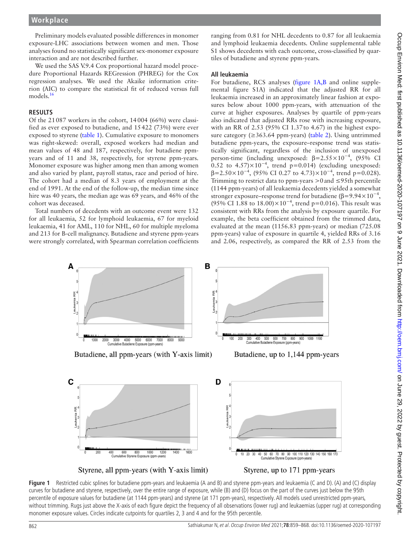Preliminary models evaluated possible differences in monomer exposure-LHC associations between women and men. Those analyses found no statistically significant sex-monomer exposure interaction and are not described further.

We used the SAS V.9.4 Cox proportional hazard model procedure Proportional Hazards REGression (PHREG) for the Cox regression analyses. We used the Akaike information criterion (AIC) to compare the statistical fit of reduced versus full models.<sup>[16](#page-9-14)</sup>

#### **RESULTS**

Of the 21087 workers in the cohort, 14004 (66%) were classified as ever exposed to butadiene, and 15422 (73%) were ever exposed to styrene [\(table](#page-2-0) 1). Cumulative exposure to monomers was right-skewed: overall, exposed workers had median and mean values of 48 and 187, respectively, for butadiene ppmyears and of 11 and 38, respectively, for styrene ppm-years. Monomer exposure was higher among men than among women and also varied by plant, payroll status, race and period of hire. The cohort had a median of 8.3 years of employment at the end of 1991. At the end of the follow-up, the median time since hire was 40 years, the median age was 69 years, and 46% of the cohort was deceased.

Total numbers of decedents with an outcome event were 132 for all leukaemia, 52 for lymphoid leukaemia, 67 for myeloid leukaemia, 41 for AML, 110 for NHL, 60 for multiple myeloma and 213 for B-cell malignancy. Butadiene and styrene ppm-years were strongly correlated, with Spearman correlation coefficients

ranging from 0.81 for NHL decedents to 0.87 for all leukaemia and lymphoid leukaemia decedents. [Online supplemental table](https://dx.doi.org/10.1136/oemed-2020-107197) [S1](https://dx.doi.org/10.1136/oemed-2020-107197) shows decedents with each outcome, cross-classified by quartiles of butadiene and styrene ppm-years.

#### **All leukaemia**

For butadiene, RCS analyses ([figure](#page-3-0) 1A,B and [online supple](https://dx.doi.org/10.1136/oemed-2020-107197)[mental figure S1A](https://dx.doi.org/10.1136/oemed-2020-107197)) indicated that the adjusted RR for all leukaemia increased in an approximately linear fashion at exposures below about 1000 ppm-years, with attenuation of the curve at higher exposures. Analyses by quartile of ppm-years also indicated that adjusted RRs rose with increasing exposure, with an RR of 2.53 (95% CI 1.37to 4.67) in the highest exposure category (≥363.64 ppm-years) ([table](#page-4-0) 2). Using untrimmed butadiene ppm-years, the exposure–response trend was statistically significant, regardless of the inclusion of unexposed person-time (including unexposed:  $\beta = 2.55 \times 10^{-4}$ , (95% CI 0.52 to  $4.57 \times 10^{-4}$ , trend p=0.014) (excluding unexposed:  $\beta$ =2.50×10<sup>-4</sup>, (95% CI 0.27 to 4.73)×10<sup>-4</sup>, trend p=0.028). Trimming to restrict data to ppm-years  $>0$  and  $\leq$ 95th percentile (1144 ppm-years) of all leukaemia decedents yielded a somewhat stronger exposure–response trend for butadiene ( $\beta$ =9.94×10<sup>-4</sup>, (95% CI 1.88 to 18.00)×10<sup>-4</sup>, trend p=0.016). This result was consistent with RRs from the analysis by exposure quartile. For example, the beta coefficient obtained from the trimmed data, evaluated at the mean (1156.83 ppm-years) or median (725.08 ppm-years) value of exposure in quartile 4, yielded RRs of 3.16 and 2.06, respectively, as compared the RR of 2.53 from the



# 400 600 800 1000 1200<br>Cumulative Styrene Exposure (ppm-years)

<span id="page-3-0"></span>



Cumulative Styrene Exposure (ppm-years)

70 80 90 100 110 120 130 140 150 160 17

50 60

**Figure 1** Restricted cubic splines for butadiene ppm-years and leukaemia (A and B) and styrene ppm-years and leukaemia (C and D). (A) and (C) display curves for butadiene and styrene, respectively, over the entire range of exposure, while (B) and (D) focus on the part of the curves just below the 95th percentile of exposure values for butadiene (at 1144 ppm-years) and styrene (at 171 ppm-years), respectively. All models used unrestricted ppm-years, without trimming. Rugs just above the X-axis of each figure depict the frequency of all observations (lower rug) and leukaemias (upper rug) at corresponding monomer exposure values. Circles indicate cutpoints for quartiles 2, 3 and 4 and for the 95th percentile.

 $\frac{11}{1600}$ 

1400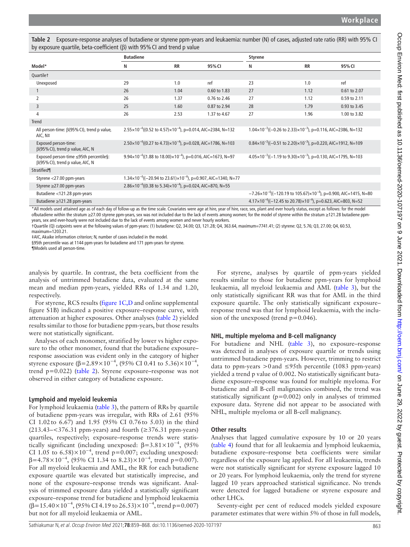|                                                                                                                                                                                                                                                                                                                                                                                                                                                                                                                                                                                                                                                                                                                                                                                                                                                                                                | <b>Butadiene</b> |                                                                                    |                                                                                      | <b>Styrene</b> |                                                                                                  |              |  |  |
|------------------------------------------------------------------------------------------------------------------------------------------------------------------------------------------------------------------------------------------------------------------------------------------------------------------------------------------------------------------------------------------------------------------------------------------------------------------------------------------------------------------------------------------------------------------------------------------------------------------------------------------------------------------------------------------------------------------------------------------------------------------------------------------------------------------------------------------------------------------------------------------------|------------------|------------------------------------------------------------------------------------|--------------------------------------------------------------------------------------|----------------|--------------------------------------------------------------------------------------------------|--------------|--|--|
| Model*                                                                                                                                                                                                                                                                                                                                                                                                                                                                                                                                                                                                                                                                                                                                                                                                                                                                                         | N                | <b>RR</b>                                                                          | 95% CI                                                                               | Ν              | <b>RR</b>                                                                                        | 95% CI       |  |  |
| Quartilet                                                                                                                                                                                                                                                                                                                                                                                                                                                                                                                                                                                                                                                                                                                                                                                                                                                                                      |                  |                                                                                    |                                                                                      |                |                                                                                                  |              |  |  |
| Unexposed                                                                                                                                                                                                                                                                                                                                                                                                                                                                                                                                                                                                                                                                                                                                                                                                                                                                                      | 29               | 1.0                                                                                | ref                                                                                  | 23             | 1.0                                                                                              | ref          |  |  |
| $\mathbf{1}$                                                                                                                                                                                                                                                                                                                                                                                                                                                                                                                                                                                                                                                                                                                                                                                                                                                                                   | 26               | 1.04                                                                               | 0.60 to 1.83                                                                         | 27             | 1.12                                                                                             | 0.61 to 2.07 |  |  |
| 2                                                                                                                                                                                                                                                                                                                                                                                                                                                                                                                                                                                                                                                                                                                                                                                                                                                                                              | 26               | 1.37                                                                               | 0.76 to 2.46                                                                         | 27             | 1.12                                                                                             | 0.59 to 2.11 |  |  |
| 3                                                                                                                                                                                                                                                                                                                                                                                                                                                                                                                                                                                                                                                                                                                                                                                                                                                                                              | 25               | 1.60                                                                               | 0.87 to 2.94                                                                         | 28             | 1.79                                                                                             | 0.93 to 3.45 |  |  |
| 4                                                                                                                                                                                                                                                                                                                                                                                                                                                                                                                                                                                                                                                                                                                                                                                                                                                                                              | 26               | 2.53                                                                               | 1.37 to 4.67                                                                         | 27             | 1.96                                                                                             | 1.00 to 3.82 |  |  |
| <b>Trend</b>                                                                                                                                                                                                                                                                                                                                                                                                                                                                                                                                                                                                                                                                                                                                                                                                                                                                                   |                  |                                                                                    |                                                                                      |                |                                                                                                  |              |  |  |
| All person-time: $\beta(95\%$ CI), trend p value,<br>AIC, N‡                                                                                                                                                                                                                                                                                                                                                                                                                                                                                                                                                                                                                                                                                                                                                                                                                                   |                  | $2.55 \times 10^{-4}$ ((0.52 to 4.57) $\times 10^{-4}$ ), p=0.014, AIC=2384, N=132 |                                                                                      |                | $1.04 \times 10^{-3}$ ((-0.26 to 2.33) $\times 10^{-3}$ ), p=0.116, AIC=2386, N=132              |              |  |  |
| Exposed person-time:<br>$\beta$ (95% CI), trend p value, AIC, N                                                                                                                                                                                                                                                                                                                                                                                                                                                                                                                                                                                                                                                                                                                                                                                                                                |                  | $2.50 \times 10^{-4}$ ((0.27 to 4.73) $\times 10^{-4}$ ), p=0.028, AIC=1786, N=103 |                                                                                      |                | $0.84 \times 10^{-3}$ ((-0.51 to 2.20) $\times 10^{-3}$ ), p=0.220, AIC=1912, N=109              |              |  |  |
| Exposed person-time ≤95th percentile§:<br>$\beta$ (95% CI), trend p value, AIC, N                                                                                                                                                                                                                                                                                                                                                                                                                                                                                                                                                                                                                                                                                                                                                                                                              |                  | $9.94 \times 10^{-4}$ ((1.88 to 18.00) $\times 10^{-4}$ ), p=0.016, AIC=1673, N=97 |                                                                                      |                | $4.05 \times 10^{-3}$ ((-1.19 to 9.30) $\times 10^{-3}$ ), p=0.130, AIC=1795, N=103              |              |  |  |
| Stratified¶                                                                                                                                                                                                                                                                                                                                                                                                                                                                                                                                                                                                                                                                                                                                                                                                                                                                                    |                  |                                                                                    |                                                                                      |                |                                                                                                  |              |  |  |
| Styrene <27.00 ppm-years                                                                                                                                                                                                                                                                                                                                                                                                                                                                                                                                                                                                                                                                                                                                                                                                                                                                       |                  |                                                                                    | $1.34 \times 10^{-4}$ ((-20.94 to 23.61) $\times 10^{-4}$ ), p=0.907, AIC=1340, N=77 |                |                                                                                                  |              |  |  |
| Styrene ≥27.00 ppm-years                                                                                                                                                                                                                                                                                                                                                                                                                                                                                                                                                                                                                                                                                                                                                                                                                                                                       |                  | 2.86×10 <sup>-4</sup> ((0.38 to 5.34)×10 <sup>-4</sup> ), p=0.024, AIC=870, N=55   |                                                                                      |                |                                                                                                  |              |  |  |
| Butadiene <121.28 ppm-years                                                                                                                                                                                                                                                                                                                                                                                                                                                                                                                                                                                                                                                                                                                                                                                                                                                                    |                  |                                                                                    |                                                                                      |                | $-7.26 \times 10^{-4}$ ((-120.19 to 105.67) $\times$ 10 <sup>-4</sup> ), p=0.900, AIC=1415, N=80 |              |  |  |
| Butadiene ≥121.28 ppm-years                                                                                                                                                                                                                                                                                                                                                                                                                                                                                                                                                                                                                                                                                                                                                                                                                                                                    |                  |                                                                                    |                                                                                      |                | $4.17 \times 10^{-4}$ ((-12.45 to 20.78) $\times 10^{-4}$ ), p=0.623, AIC=803, N=52              |              |  |  |
| *All models used attained age as of each day of follow-up as the time scale. Covariates were age at hire, year of hire, race, sex, plant and ever hourly status, except as follows: for the model<br>ofbutadiene within the stratum ≥27.00 styrene ppm-years, sex was not included due to the lack of events among women; for the model of styrene within the stratum ≥121.28 butadiene ppm-<br>years, sex and ever-hourly were not included due to the lack of events among women and never hourly workers.<br>1Quartile (Q) cutpoints were at the following values of ppm-years: (1) butadiene: Q2, 34.00; Q3, 121.28; Q4, 363.64, maximum=7741.41; (2) styrene: Q2, 5.76; Q3, 27.00; Q4, 60.53,<br>maximum=1203.21.<br>#AIC, Akaike information criterion; N, number of cases included in the model.<br>§95th percentile was at 1144 ppm-years for butadiene and 171 ppm-years for styrene. |                  |                                                                                    |                                                                                      |                |                                                                                                  |              |  |  |

<span id="page-4-0"></span>**Table 2** Exposure-response analyses of butadiene or styrene ppm-years and leukaemia: number (N) of cases, adjusted rate ratio (RR) with 95% CI by exposure quartile, beta-coefficient (β) with

¶Models used all person-time.

analysis by quartile. In contrast, the beta coefficient from the analysis of untrimmed butadiene data, evaluated at the same mean and median ppm-years, yielded RRs of 1.34 and 1.20, respectively.

For styrene, RCS results [\(figure](#page-3-0) 1C,D and [online supplemental](https://dx.doi.org/10.1136/oemed-2020-107197)  [figure S1B\)](https://dx.doi.org/10.1136/oemed-2020-107197) indicated a positive exposure–response curve, with attenuation at higher exposures. Other analyses ([table](#page-4-0) 2) yielded results similar to those for butadiene ppm-years, but those results were not statistically significant.

Analyses of each monomer, stratified by lower vs higher exposure to the other monomer, found that the butadiene exposure– response association was evident only in the category of higher styrene exposure ( $\beta$ =2.89×10<sup>-4</sup>, (95% CI 0.41 to 5.36)×10<sup>-4</sup>, trend p=0.022) [\(table](#page-4-0) 2). Styrene exposure–response was not observed in either category of butadiene exposure.

# **Lymphoid and myeloid leukemia**

For lymphoid leukaemia ([table](#page-5-0) 3), the pattern of RRs by quartile of butadiene ppm-years was irregular, with RRs of 2.61 (95% CI 1.02to 6.67) and 1.95 (95% CI 0.76to 5.03) in the third (213.43– $<376.31$  ppm-years) and fourth ( $\geq$ 376.31 ppm-years) quartiles, respectively; exposure–response trends were statistically significant (including unexposed:  $\beta = 3.81 \times 10^{-4}$ , (95% CI 1.05 to  $6.58$ )×10<sup>-4</sup>, trend p=0.007; excluding unexposed:  $β=4.78\times10^{-4}$ , (95% CI 1.34 to 8.23)×10<sup>-4</sup>, trend p=0.007). For all myeloid leukaemia and AML, the RR for each butadiene exposure quartile was elevated but statistically imprecise, and none of the exposure–response trends was significant. Analysis of trimmed exposure data yielded a statistically significant exposure–response trend for butadiene and lymphoid leukaemia  $(\beta=15.40\times10^{-4}, (95\% \text{ CI } 4.19 \text{ to } 26.53)\times10^{-4}, \text{trend } p=0.007)$ but not for all myeloid leukaemia or AML.

For styrene, analyses by quartile of ppm-years yielded results similar to those for butadiene ppm-years for lymphoid leukaemia, all myeloid leukaemia and AML ([table](#page-5-0) 3), but the only statistically significant RR was that for AML in the third exposure quartile. The only statistically significant exposure– response trend was that for lymphoid leukaemia, with the inclusion of the unexposed (trend  $p=0.046$ ).

#### **NHL, multiple myeloma and B-cell malignancy**

For butadiene and NHL [\(table](#page-5-0) 3), no exposure–response was detected in analyses of exposure quartile or trends using untrimmed butadiene ppm-years. However, trimming to restrict data to ppm-years >0 and ≤95th percentile (1083 ppm-years) yielded a trend p value of 0.002. No statistically significant butadiene exposure–response was found for multiple myeloma. For butadiene and all B-cell malignancies combined, the trend was statistically significant ( $p=0.002$ ) only in analyses of trimmed exposure data. Styrene did not appear to be associated with NHL, multiple myeloma or all B-cell malignancy.

#### **Other results**

Analyses that lagged cumulative exposure by 10 or 20 years ([table](#page-7-0) 4) found that for all leukaemia and lymphoid leukaemia, butadiene exposure–response beta coefficients were similar regardless of the exposure lag applied. For all leukaemia, trends were not statistically significant for styrene exposure lagged 10 or 20 years. For lymphoid leukaemia, only the trend for styrene lagged 10 years approached statistical significance. No trends were detected for lagged butadiene or styrene exposure and other LHCs.

Seventy-eight per cent of reduced models yielded exposure parameter estimates that were within 5% of those in full models,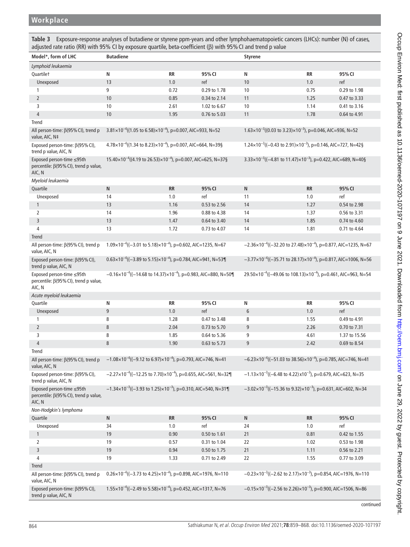<span id="page-5-0"></span>**Table 3** Exposure-response analyses of butadiene or styrene ppm-years and other lymphohaematopoietic cancers (LHCs): number (N) of cases, adjusted rate ratio (RR) with 95% CI by exposure quartile, beta-coefficient (β) with 95%CI and trend p value

| Model*, form of LHC                                                                                                                            | <b>Butadiene</b>                                                                                                                                                            |                                                                                                                                                                      |                                                                                     | <b>Styrene</b>                                                                        |           |               |  |  |  |
|------------------------------------------------------------------------------------------------------------------------------------------------|-----------------------------------------------------------------------------------------------------------------------------------------------------------------------------|----------------------------------------------------------------------------------------------------------------------------------------------------------------------|-------------------------------------------------------------------------------------|---------------------------------------------------------------------------------------|-----------|---------------|--|--|--|
|                                                                                                                                                |                                                                                                                                                                             |                                                                                                                                                                      |                                                                                     |                                                                                       |           |               |  |  |  |
| Lymphoid leukaemia                                                                                                                             |                                                                                                                                                                             |                                                                                                                                                                      |                                                                                     |                                                                                       |           |               |  |  |  |
| Quartilet                                                                                                                                      | N                                                                                                                                                                           | RR                                                                                                                                                                   | 95% CI                                                                              | N                                                                                     | <b>RR</b> | 95% CI        |  |  |  |
| Unexposed                                                                                                                                      | 13                                                                                                                                                                          | 1.0                                                                                                                                                                  | ref                                                                                 | 10                                                                                    | 1.0       | ref           |  |  |  |
| 1                                                                                                                                              | 9                                                                                                                                                                           | 0.72                                                                                                                                                                 | 0.29 to 1.78                                                                        | 10                                                                                    | 0.75      | 0.29 to 1.98  |  |  |  |
| $\overline{2}$                                                                                                                                 | 10                                                                                                                                                                          | 0.85                                                                                                                                                                 | 0.34 to 2.14                                                                        | 11                                                                                    | 1.25      | 0.47 to 3.33  |  |  |  |
| 3                                                                                                                                              | 10                                                                                                                                                                          | 2.61                                                                                                                                                                 | 1.02 to 6.67                                                                        | 10                                                                                    | 1.14      | 0.41 to 3.16  |  |  |  |
| 4                                                                                                                                              | 10                                                                                                                                                                          | 1.95                                                                                                                                                                 | 0.76 to 5.03                                                                        | 11                                                                                    | 1.78      | 0.64 to 4.91  |  |  |  |
| Trend                                                                                                                                          |                                                                                                                                                                             |                                                                                                                                                                      |                                                                                     |                                                                                       |           |               |  |  |  |
| All person-time: β(95% CI), trend p<br>value, AIC, N‡                                                                                          |                                                                                                                                                                             | $1.63 \times 10^{-3}$ ((0.03 to 3.23) $\times 10^{-3}$ ), p=0.046, AIC=936, N=52<br>$3.81 \times 10^{-4}$ ((1.05 to 6.58) $\times 10^{-4}$ ), p=0.007, AIC=933, N=52 |                                                                                     |                                                                                       |           |               |  |  |  |
| Exposed person-time: $\beta$ (95% CI),<br>trend p value, AIC, N                                                                                | $4.78 \times 10^{-4}$ ((1.34 to 8.23) $\times 10^{-4}$ ), p=0.007, AIC=664, N=39§<br>$1.24 \times 10^{-3}$ ((-0.43 to 2.91) $\times 10^{-3}$ ), p=0.146, AIC=727, N=42§     |                                                                                                                                                                      |                                                                                     |                                                                                       |           |               |  |  |  |
| Exposed person-time ≤95th<br>percentile: β(95% CI), trend p value,<br>AIC, N                                                                   | $15.40 \times 10^{-4}$ ((4.19 to 26.53) $\times 10^{-4}$ ), p=0.007, AIC=625, N=37§                                                                                         |                                                                                                                                                                      | 3.33×10 <sup>-3</sup> ((-4.81 to 11.47)×10 <sup>-3</sup> ), p=0.422, AIC=689, N=40§ |                                                                                       |           |               |  |  |  |
| Myeloid leukaemia                                                                                                                              |                                                                                                                                                                             |                                                                                                                                                                      |                                                                                     |                                                                                       |           |               |  |  |  |
| Quartile                                                                                                                                       | ${\sf N}$                                                                                                                                                                   | <b>RR</b>                                                                                                                                                            | 95% CI                                                                              | N                                                                                     | <b>RR</b> | 95% CI        |  |  |  |
| Unexposed                                                                                                                                      | 14                                                                                                                                                                          | 1.0                                                                                                                                                                  | ref                                                                                 | 11                                                                                    | 1.0       | ref           |  |  |  |
| $\mathbf{1}$                                                                                                                                   | 13                                                                                                                                                                          | 1.16                                                                                                                                                                 | 0.53 to 2.56                                                                        | 14                                                                                    | 1.27      | 0.54 to 2.98  |  |  |  |
| 2                                                                                                                                              | 14                                                                                                                                                                          | 1.96                                                                                                                                                                 | 0.88 to 4.38                                                                        | 14                                                                                    | 1.37      | 0.56 to 3.31  |  |  |  |
| 3                                                                                                                                              | 13                                                                                                                                                                          | 1.47                                                                                                                                                                 | 0.64 to 3.40                                                                        | 14                                                                                    | 1.85      | 0.74 to 4.60  |  |  |  |
| 4                                                                                                                                              | 13                                                                                                                                                                          | 1.72                                                                                                                                                                 | 0.73 to 4.07                                                                        | 14                                                                                    | 1.81      | 0.71 to 4.64  |  |  |  |
| Trend                                                                                                                                          |                                                                                                                                                                             |                                                                                                                                                                      |                                                                                     |                                                                                       |           |               |  |  |  |
| All person-time: β(95% CI), trend p<br>value, AIC, N                                                                                           | $1.09 \times 10^{-4}$ ((-3.01 to 5.18) $\times 10^{-4}$ ), p=0.602, AIC=1235, N=67<br>$-2.36 \times 10^{-4}$ ((-32.20 to 27.48) $\times 10^{-4}$ ), p=0.877, AIC=1235, N=67 |                                                                                                                                                                      |                                                                                     |                                                                                       |           |               |  |  |  |
| Exposed person-time: $\beta$ (95% CI),<br>trend p value, AIC, N                                                                                | $0.63 \times 10^{-4}$ ((-3.89 to 5.15) $\times 10^{-4}$ ), p=0.784, AIC=941, N=53¶<br>$-3.77 \times 10^{-4}$ ((-35.71 to 28.17) $\times 10^{-4}$ ), p=0.817, AIC=1006, N=56 |                                                                                                                                                                      |                                                                                     |                                                                                       |           |               |  |  |  |
| Exposed person-time ≤95th<br>percentile: β(95% CI), trend p value,<br>AIC, N                                                                   | $-0.16 \times 10^{-4}$ ((-14.68 to 14.37) $\times 10^{-4}$ ), p=0.983, AIC=880, N=50¶                                                                                       |                                                                                                                                                                      |                                                                                     | 29.50×10 <sup>-4</sup> ((-49.06 to 108.13)×10 <sup>-4</sup> ), p=0.461, AIC=963, N=54 |           |               |  |  |  |
| Acute myeloid leukaemia                                                                                                                        |                                                                                                                                                                             |                                                                                                                                                                      |                                                                                     |                                                                                       |           |               |  |  |  |
| Quartile                                                                                                                                       | N                                                                                                                                                                           | RR                                                                                                                                                                   | 95% CI                                                                              | N                                                                                     | <b>RR</b> | 95% CI        |  |  |  |
| Unexposed                                                                                                                                      | 9                                                                                                                                                                           | 1.0                                                                                                                                                                  | ref                                                                                 | 6                                                                                     | 1.0       | ref           |  |  |  |
| 1                                                                                                                                              | 8                                                                                                                                                                           | 1.28                                                                                                                                                                 | 0.47 to 3.48                                                                        | 8                                                                                     | 1.55      | 0.49 to 4.91  |  |  |  |
| $\overline{2}$                                                                                                                                 | $\,8\,$                                                                                                                                                                     | 2.04                                                                                                                                                                 | 0.73 to 5.70                                                                        | 9                                                                                     | 2.26      | 0.70 to 7.31  |  |  |  |
| 3                                                                                                                                              | 8                                                                                                                                                                           | 1.85                                                                                                                                                                 | 0.64 to 5.36                                                                        | 9                                                                                     | 4.61      | 1.37 to 15.56 |  |  |  |
| $\overline{4}$                                                                                                                                 | 8                                                                                                                                                                           | 1.90                                                                                                                                                                 | 0.63 to 5.73                                                                        | 9                                                                                     | 2.42      | 0.69 to 8.54  |  |  |  |
| Trend                                                                                                                                          |                                                                                                                                                                             |                                                                                                                                                                      |                                                                                     |                                                                                       |           |               |  |  |  |
| All person-time: $\beta$ (95% CI), trend p -1.08×10 <sup>-4</sup> ((-9.12 to 6.97)×10 <sup>-4</sup> ), p=0.793, AIC=746, N=41<br>value, AIC, N |                                                                                                                                                                             |                                                                                                                                                                      |                                                                                     | $-6.23 \times 10^{-4}$ ((-51.03 to 38.56) $\times 10^{-4}$ ), p=0.785, AIC=746, N=41  |           |               |  |  |  |
| Exposed person-time: $\beta$ (95% CI),<br>trend p value, AIC, N                                                                                | $-2.27 \times 10^{-4}$ ((-12.25 to 7.70) $\times 10^{-4}$ ), p=0.655, AIC=561, N=32¶                                                                                        |                                                                                                                                                                      |                                                                                     | $-1.13 \times 10^{-3}$ ((-6.48 to 4.22) x10 <sup>-3</sup> ), p=0.679, AIC=623, N=35   |           |               |  |  |  |
| Exposed person-time ≤95th<br>percentile: β(95% CI), trend p value,<br>AIC, N                                                                   | $-1.34 \times 10^{-3}$ ((-3.93 to 1.25) $\times 10^{-3}$ ), p=0.310, AIC=540, N=31¶                                                                                         |                                                                                                                                                                      |                                                                                     | $-3.02 \times 10^{-3}$ ((-15.36 to 9.32) $\times 10^{-3}$ ), p=0.631, AIC=602, N=34   |           |               |  |  |  |
| Non-Hodgkin's lymphoma                                                                                                                         |                                                                                                                                                                             |                                                                                                                                                                      |                                                                                     |                                                                                       |           |               |  |  |  |
| Quartile                                                                                                                                       | ${\sf N}$                                                                                                                                                                   | RR                                                                                                                                                                   | 95% CI                                                                              | N                                                                                     | RR        | 95% CI        |  |  |  |
| Unexposed                                                                                                                                      | 34                                                                                                                                                                          | 1.0                                                                                                                                                                  | ref                                                                                 | 24                                                                                    | 1.0       | ref           |  |  |  |
| $\mathbf{1}$                                                                                                                                   | 19                                                                                                                                                                          | 0.90                                                                                                                                                                 | 0.50 to 1.61                                                                        | 21                                                                                    | 0.81      | 0.42 to 1.55  |  |  |  |
| 2                                                                                                                                              | 19                                                                                                                                                                          | 0.57                                                                                                                                                                 | 0.31 to 1.04                                                                        | 22                                                                                    | 1.02      | 0.53 to 1.98  |  |  |  |
| 3                                                                                                                                              | 19                                                                                                                                                                          | 0.94                                                                                                                                                                 | 0.50 to 1.75                                                                        | 21                                                                                    | 1.11      | 0.56 to 2.21  |  |  |  |
| 4                                                                                                                                              | 19                                                                                                                                                                          | 1.33                                                                                                                                                                 | 0.71 to 2.49                                                                        | 22                                                                                    | 1.55      | 0.77 to 3.09  |  |  |  |
| <b>Trend</b>                                                                                                                                   |                                                                                                                                                                             |                                                                                                                                                                      |                                                                                     |                                                                                       |           |               |  |  |  |
| All person-time: β(95% CI), trend p<br>value, AIC, N                                                                                           | $0.26 \times 10^{-4}$ ((-3.73 to 4.25) $\times 10^{-4}$ ), p=0.898, AIC=1976, N=110                                                                                         |                                                                                                                                                                      |                                                                                     | $-0.23 \times 10^{-3}$ ((-2.62 to 2.17) $\times 10^{-3}$ ), p=0.854, AIC=1976, N=110  |           |               |  |  |  |
| Exposed person-time: $\beta$ (95% CI),<br>trend p value, AIC, N                                                                                | $1.55 \times 10^{-4}$ ((-2.49 to 5.58) $\times 10^{-4}$ ), p=0.452, AIC=1317, N=76                                                                                          |                                                                                                                                                                      |                                                                                     | $-0.15 \times 10^{-3}$ ((-2.56 to 2.26) $\times 10^{-3}$ ), p=0.900, AIC=1506, N=86   |           |               |  |  |  |

continued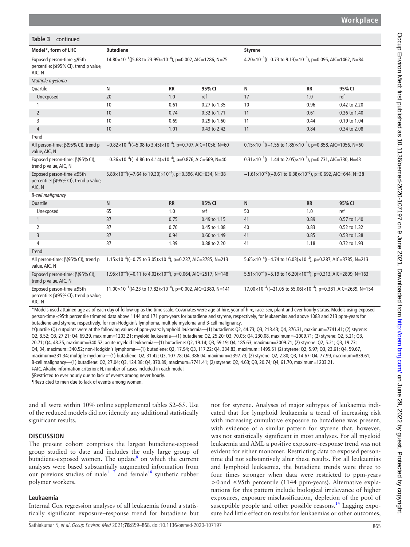| Table 3<br>continued                                                                |                                                                                      |           |              |                                                                                        |           |              |  |
|-------------------------------------------------------------------------------------|--------------------------------------------------------------------------------------|-----------|--------------|----------------------------------------------------------------------------------------|-----------|--------------|--|
| Model*, form of LHC                                                                 | <b>Butadiene</b>                                                                     |           |              | <b>Styrene</b>                                                                         |           |              |  |
| Exposed person-time ≤95th<br>percentile: $\beta$ (95% CI), trend p value,<br>AIC, N | $14.80 \times 10^{-4}$ ((5.68 to 23.99) $\times 10^{-4}$ ), p=0.002, AIC=1286, N=75  |           |              | 4.20×10 <sup>-3</sup> ((-0.73 to 9.13)×10 <sup>-3</sup> ), p=0.095, AIC=1462, N=84     |           |              |  |
| Multiple myeloma                                                                    |                                                                                      |           |              |                                                                                        |           |              |  |
| Quartile                                                                            | N                                                                                    | <b>RR</b> | 95% CI       | N                                                                                      | <b>RR</b> | 95% CI       |  |
| Unexposed                                                                           | 20                                                                                   | 1.0       | ref          | 17                                                                                     | 1.0       | ref          |  |
| 1                                                                                   | 10                                                                                   | 0.61      | 0.27 to 1.35 | 10                                                                                     | 0.96      | 0.42 to 2.20 |  |
| $\overline{2}$                                                                      | 10                                                                                   | 0.74      | 0.32 to 1.71 | 11                                                                                     | 0.61      | 0.26 to 1.40 |  |
| 3                                                                                   | 10                                                                                   | 0.69      | 0.29 to 1.60 | 11                                                                                     | 0.44      | 0.19 to 1.04 |  |
| $\overline{4}$                                                                      | 10                                                                                   | 1.01      | 0.43 to 2.42 | 11                                                                                     | 0.84      | 0.34 to 2.08 |  |
| Trend                                                                               |                                                                                      |           |              |                                                                                        |           |              |  |
| All person-time: β(95% CI), trend p<br>value, AIC, N                                | $-0.82 \times 10^{-4}$ ((-5.08 to 3.45) $\times 10^{-4}$ ), p=0.707, AIC=1056, N=60  |           |              | $0.15 \times 10^{-3}$ ((-1.55 to 1.85) $\times 10^{-3}$ ), p=0.858, AIC=1056, N=60     |           |              |  |
| Exposed person-time: $\beta$ (95% CI),<br>trend p value, AIC, N                     | $-0.36 \times 10^{-4}$ ((-4.86 to 4.14) $\times 10^{-4}$ ), p=0.876, AIC=669, N=40   |           |              | $0.31 \times 10^{-3}$ ((-1.44 to 2.05) $\times 10^{-3}$ ), p=0.731, AIC=730, N=43      |           |              |  |
| Exposed person-time ≤95th<br>percentile: β(95% CI), trend p value,<br>AIC, N        | $5.83 \times 10^{-4}$ ((-7.64 to 19.30) $\times 10^{-4}$ ), p=0.396, AIC=634, N=38   |           |              | $-1.61 \times 10^{-3}$ ((-9.61 to 6.38) $\times 10^{-3}$ ), p=0.692, AIC=644, N=38     |           |              |  |
| <b>B-cell malignancy</b>                                                            |                                                                                      |           |              |                                                                                        |           |              |  |
| Quartile                                                                            | N                                                                                    | <b>RR</b> | 95% CI       | $\mathsf{N}$                                                                           | <b>RR</b> | 95% CI       |  |
| Unexposed                                                                           | 65                                                                                   | 1.0       | ref          | 50                                                                                     | 1.0       | ref          |  |
| $\mathbf{1}$                                                                        | 37                                                                                   | 0.75      | 0.49 to 1.15 | 41                                                                                     | 0.89      | 0.57 to 1.40 |  |
| $\overline{2}$                                                                      | 37                                                                                   | 0.70      | 0.45 to 1.08 | 40                                                                                     | 0.83      | 0.52 to 1.32 |  |
| $\overline{3}$                                                                      | 37                                                                                   | 0.94      | 0.60 to 1.49 | 41                                                                                     | 0.85      | 0.53 to 1.38 |  |
| 4                                                                                   | 37                                                                                   | 1.39      | 0.88 to 2.20 | 41                                                                                     | 1.18      | 0.72 to 1.93 |  |
| <b>Trend</b>                                                                        |                                                                                      |           |              |                                                                                        |           |              |  |
| All person-time: β(95% CI), trend p<br>value, AIC, N                                | $1.15 \times 10^{-4}$ ((-0.75 to 3.05) $\times 10^{-4}$ ), p=0.237, AIC=3785, N=213  |           |              | $5.65 \times 10^{-4}$ ((-4.74 to 16.03) $\times 10^{-4}$ ), p=0.287, AIC=3785, N=213   |           |              |  |
| Exposed person-time: $\beta$ (95% CI),<br>trend p value, AIC, N                     | $1.95 \times 10^{-4}$ ((-0.11 to 4.02) $\times 10^{-4}$ ), p=0.064, AIC=2517, N=148  |           |              | $5.51 \times 10^{-4}$ ((-5.19 to 16.20) $\times 10^{-4}$ ), p=0.313, AIC=2809, N=163   |           |              |  |
| Exposed person-time ≤95th<br>percentile: $\beta$ (95% CI), trend p value,<br>AIC, N | $11.00 \times 10^{-4}$ ((4.23 to 17.82) $\times 10^{-4}$ ), p=0.002, AIC=2380, N=141 |           |              | $17.00 \times 10^{-4}$ ((-21.05 to 55.06) $\times 10^{-4}$ ), p=0.381, AIC=2639, N=154 |           |              |  |

\*Models used attained age as of each day of follow-up as the time scale. Covariates were age at hire, year of hire, race, sex, plant and ever hourly status. Models using exposed person-time ≤95th percentile trimmed data above 1144 and 171 ppm-years for butadiene and styrene, respectively, for leukaemias and above 1083 and 213 ppm-years for butadiene and styrene, respectively, for non-Hodgkin's lymphoma, multiple myeloma and B-cell malignancy.

†Quartile (Q) cutpoints were at the following values of ppm-years: lymphoid leukaemia—(1) butadiene: Q2, 44.73; Q3, 213.43; Q4, 376.31, maximum=7741.41; (2) styrene: Q2, 8.52; Q3, 27.21; Q4, 69.29, maximum=1203.21; myeloid leukaemia—(1) butadiene: Q2, 25.20; Q3, 70.05; Q4, 230.08, maximum=–2009.71; (2) styrene: Q2, 5.21; Q3, 20.71; Q4, 48.25, maximum=340.52; acute myeloid leukaemia—(1) butadiene: Q2, 19.14; Q3, 59.19; Q4, 185.63, maximum=2009.71; (2) styrene: Q2, 5.21; Q3, 19.73; Q4, 34, maximum=340.52; non-Hodgkin's lymphoma—(1) butadiene: Q2, 17.94; Q3, 117.22; Q4, 334.83, maximum=1495.51 (2) styrene: Q2, 5.97; Q3, 23.61; Q4, 59.67, maximum=231.34; multiple myeloma—(1) butadiene: Q2, 31.42; Q3, 107.78; Q4, 386.04, maximum=2397.73; (2) styrene: Q2, 2.80; Q3, 14.67; Q4, 77.99, maximum=839.61; B-cell malignancy—(1) butadiene: Q2, 27.04; Q3, 124.38; Q4, 370.89, maximum=7741.41; (2) styrene: Q2, 4.63; Q3, 20.74; Q4, 61.70, maximum=1203.21. ‡AIC, Akaike information criterion; N, number of cases included in each model.

§Restricted to ever hourly due to lack of events among never hourly.

¶Restricted to men due to lack of events among women.

and all were within 10% [online supplemental tables S2–S5.](https://dx.doi.org/10.1136/oemed-2020-107197) Use of the reduced models did not identify any additional statistically significant results.

# **DISCUSSION**

The present cohort comprises the largest butadiene-exposed group studied to date and includes the only large group of butadiene-exposed women. The update<sup>8</sup> on which the current analyses were based substantially augmented information from our previous studies of male<sup>117</sup> and female<sup>[18](#page-9-15)</sup> synthetic rubber polymer workers.

# **Leukaemia**

Internal Cox regression analyses of all leukaemia found a statistically significant exposure–response trend for butadiene but not for styrene. Analyses of major subtypes of leukaemia indicated that for lymphoid leukaemia a trend of increasing risk with increasing cumulative exposure to butadiene was present, with evidence of a similar pattern for styrene that, however, was not statistically significant in most analyses. For all myeloid leukaemia and AML a positive exposure–response trend was not evident for either monomer. Restricting data to exposed persontime did not substantively alter these results. For all leukaemias and lymphoid leukaemia, the butadiene trends were three to four times stronger when data were restricted to ppm-years >0and ≤95th percentile (1144 ppm-years). Alternative explanations for this pattern include biological irrelevance of higher exposures, exposure misclassification, depletion of the pool of susceptible people and other possible reasons.<sup>[14](#page-9-12)</sup> Lagging exposure had little effect on results for leukaemias or other outcomes,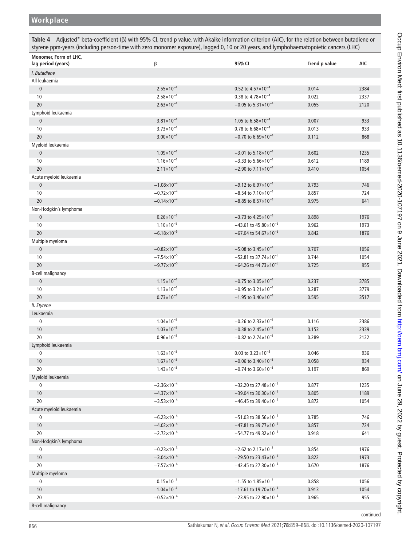# **Workplace**

<span id="page-7-0"></span>**Table 4** Adjusted\* beta-coefficient (β) with 95% CI, trend p value, with Akaike information criterion (AIC), for the relation between butadiene or styrene ppm-years (including person-time with zero monomer exposure), lagged 0, 10 or 20 years, and lymphohaematopoietic cancers (LHC)

| Monomer, Form of LHC,<br>lag period (years) | β                      | 95% CI                                      | Trend p value | AIC  |
|---------------------------------------------|------------------------|---------------------------------------------|---------------|------|
| I. Butadiene                                |                        |                                             |               |      |
| All leukaemia                               |                        |                                             |               |      |
| $\pmb{0}$                                   | $2.55 \times 10^{-4}$  | 0.52 to $4.57 \times 10^{-4}$               | 0.014         | 2384 |
| 10                                          | $2.58 \times 10^{-4}$  | 0.38 to $4.78\times10^{-4}$                 | 0.022         | 2337 |
| 20                                          | $2.63 \times 10^{-4}$  | $-0.05$ to $5.31 \times 10^{-4}$            | 0.055         | 2120 |
| Lymphoid leukaemia                          |                        |                                             |               |      |
| $\pmb{0}$                                   | $3.81 \times 10^{-4}$  | 1.05 to $6.58\times10^{-4}$                 | 0.007         | 933  |
| 10                                          | $3.73 \times 10^{-4}$  | 0.78 to $6.68\times10^{-4}$                 | 0.013         | 933  |
| 20                                          | $3.00 \times 10^{-4}$  | $-0.70$ to 6.69×10 <sup>-4</sup>            | 0.112         | 868  |
| Myeloid leukaemia                           |                        |                                             |               |      |
| $\pmb{0}$                                   | $1.09\times10^{-4}$    | $-3.01$ to 5.18 $\times$ 10 <sup>-4</sup>   | 0.602         | 1235 |
| 10                                          | $1.16 \times 10^{-4}$  | $-3.33$ to $5.66 \times 10^{-4}$            | 0.612         | 1189 |
| 20                                          | $2.11 \times 10^{-4}$  | $-2.90$ to $7.11 \times 10^{-4}$            | 0.410         | 1054 |
| Acute myeloid leukaemia                     |                        |                                             |               |      |
| $\pmb{0}$                                   | $-1.08\times10^{-4}$   | $-9.12$ to 6.97 $\times$ 10 <sup>-4</sup>   | 0.793         | 746  |
| 10                                          | $-0.72\times10^{-4}$   | $-8.54$ to $7.10\times10^{-4}$              | 0.857         | 724  |
| 20                                          | $-0.14 \times 10^{-4}$ | $-8.85$ to $8.57\times10^{-4}$              | 0.975         | 641  |
| Non-Hodgkin's lymphoma                      |                        |                                             |               |      |
| $\pmb{0}$                                   | $0.26 \times 10^{-4}$  | $-3.73$ to 4.25 $\times$ 10 <sup>-4</sup>   | 0.898         | 1976 |
| 10                                          | $1.10 \times 10^{-5}$  | $-43.61$ to $45.80 \times 10^{-5}$          | 0.962         | 1973 |
| 20                                          | $-6.18 \times 10^{-5}$ | $-67.04$ to 54.67 $\times$ 10 <sup>-5</sup> | 0.842         | 1876 |
| Multiple myeloma                            |                        |                                             |               |      |
| $\pmb{0}$                                   | $-0.82\times10^{-4}$   | $-5.08$ to 3.45 $\times$ 10 <sup>-4</sup>   | 0.707         | 1056 |
| 10                                          | $-7.54 \times 10^{-5}$ | $-52.81$ to 37.74×10 <sup>-5</sup>          | 0.744         | 1054 |
| 20                                          | $-9.77 \times 10^{-5}$ | $-64.26$ to $44.73 \times 10^{-5}$          | 0.725         | 955  |
| B-cell malignancy                           |                        |                                             |               |      |
| $\pmb{0}$                                   | $1.15 \times 10^{-4}$  | $-0.75$ to 3.05 $\times$ 10 <sup>-4</sup>   | 0.237         | 3785 |
| 10                                          | $1.13 \times 10^{-4}$  | $-0.95$ to 3.21 $\times$ 10 <sup>-4</sup>   | 0.287         | 3779 |
| 20                                          | $0.73\times10^{-4}$    | $-1.95$ to 3.40 $\times$ 10 <sup>-4</sup>   | 0.595         | 3517 |
| II. Styrene                                 |                        |                                             |               |      |
| Leukaemia                                   |                        |                                             |               |      |
| $\pmb{0}$                                   | $1.04 \times 10^{-3}$  | $-0.26$ to 2.33 $\times$ 10 <sup>-3</sup>   | 0.116         | 2386 |
| 10                                          | $1.03 \times 10^{-3}$  | $-0.38$ to 2.45 $\times$ 10 <sup>-3</sup>   | 0.153         | 2339 |
| 20                                          | $0.96\times10^{-3}$    | $-0.82$ to 2.74 $\times$ 10 <sup>-3</sup>   | 0.289         | 2122 |
| Lymphoid leukaemia                          |                        |                                             |               |      |
| 0                                           | $1.63 \times 10^{-3}$  | 0.03 to $3.23 \times 10^{-3}$               | 0.046         | 936  |
| 10                                          | $1.67\times10^{-3}$    | $-0.06$ to 3.40 $\times$ 10 <sup>-3</sup>   | 0.058         | 934  |
| 20                                          | $1.43 \times 10^{-3}$  | $-0.74$ to $3.60\times10^{-3}$              | 0.197         | 869  |
| Myeloid leukaemia                           |                        |                                             |               |      |
| 0                                           | $-2.36 \times 10^{-4}$ | $-32.20$ to 27.48×10 <sup>-4</sup>          | 0.877         | 1235 |
| 10                                          | $-4.37\times10^{-4}$   | $-39.04$ to 30.30×10 <sup>-4</sup>          | 0.805         | 1189 |
| 20                                          | $-3.53\times10^{-4}$   | $-46.45$ to 39.40 $\times$ 10 <sup>-4</sup> | 0.872         | 1054 |
| Acute myeloid leukaemia                     |                        |                                             |               |      |
| $\pmb{0}$                                   | $-6.23 \times 10^{-4}$ | $-51.03$ to 38.56×10 <sup>-4</sup>          | 0.785         | 746  |
| 10                                          | $-4.02\times10^{-4}$   | $-47.81$ to 39.77 $\times$ 10 <sup>-4</sup> | 0.857         | 724  |
| 20                                          | $-2.72\times10^{-4}$   | $-54.77$ to 49.32×10 <sup>-4</sup>          | 0.918         | 641  |
| Non-Hodgkin's lymphoma                      |                        |                                             |               |      |
| $\pmb{0}$                                   | $-0.23\times10^{-3}$   | $-2.62$ to 2.17 $\times$ 10 <sup>-3</sup>   | 0.854         | 1976 |
| 10                                          | $-3.04 \times 10^{-4}$ | $-29.50$ to 23.43×10 <sup>-4</sup>          | 0.822         | 1973 |
| 20                                          | $-7.57\times10^{-4}$   | $-42.45$ to 27.30 $\times$ 10 <sup>-4</sup> | 0.670         | 1876 |
| Multiple myeloma                            |                        |                                             |               |      |
| $\pmb{0}$                                   | $0.15 \times 10^{-3}$  | $-1.55$ to $1.85 \times 10^{-3}$            | 0.858         | 1056 |
| 10                                          | $1.04 \times 10^{-4}$  | $-17.61$ to 19.70×10 <sup>-4</sup>          | 0.913         | 1054 |
| 20                                          | $-0.52\times10^{-4}$   | $-23.95$ to 22.90 $\times$ 10 <sup>-4</sup> | 0.965         | 955  |
| <b>B-cell malignancy</b>                    |                        |                                             |               |      |

continued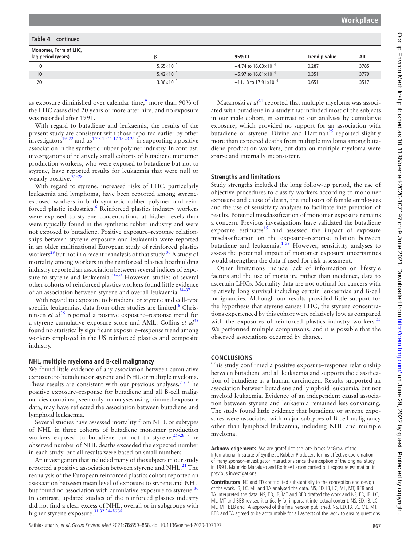| Table 4<br>continued                        |                       |                                            |               |            |
|---------------------------------------------|-----------------------|--------------------------------------------|---------------|------------|
| Monomer, Form of LHC,<br>lag period (years) |                       | 95% CI                                     | Trend p value | <b>AIC</b> |
| 0                                           | $5.65 \times 10^{-4}$ | $-4.74$ to 16.03 $\times$ 10 <sup>-4</sup> | 0.287         | 3785       |
| 10                                          | $5.42\times10^{-4}$   | $-5.97$ to $16.81 \times 10^{-4}$          | 0.351         | 3779       |
| 20                                          | $3.36 \times 10^{-4}$ | $-11.18$ to 17.91 x10 <sup>-4</sup>        | 0.651         | 3517       |

as exposure diminished over calendar time,<sup>[9](#page-9-7)</sup> more than 90% of the LHC cases died 20 years or more after hire, and no exposure was recorded after 1991.

With regard to butadiene and leukaemia, the results of the present study are consistent with those reported earlier by other investigators<sup>19–22</sup> and us<sup>178</sup> <sup>10 11 17 18 23 24</sup> in supporting a positive association in the synthetic rubber polymer industry. In contrast, investigations of relatively small cohorts of butadiene monomer production workers, who were exposed to butadiene but not to styrene, have reported results for leukaemia that were null or weakly positive.  $25-28$ 

With regard to styrene, increased risks of LHC, particularly leukaemia and lymphoma, have been reported among styreneexposed workers in both synthetic rubber polymer and reinforced plastic industries.<sup>6</sup> Reinforced plastics industry workers were exposed to styrene concentrations at higher levels than were typically found in the synthetic rubber industry and were not exposed to butadiene. Positive exposure–response relationships between styrene exposure and leukaemia were reported in an older multinational European study of reinforced plastics workers<sup>29</sup> but not in a recent reanalysis of that study.<sup>30</sup> A study of mortality among workers in the reinforced plastics boatbuilding industry reported an association between several indices of exposure to styrene and leukaemia.<sup>31–33</sup> However, studies of several other cohorts of reinforced plastics workers found little evidence of an association between styrene and overall leukaemia[.34–37](#page-9-21)

With regard to exposure to butadiene or styrene and cell-type specific leukaemias, data from other studies are limited.<sup>[6](#page-9-4)</sup> Christensen *et al*<sup>36</sup> reported a positive exposure–response trend for a styrene cumulative exposure score and AML. Collins *et al*<sup>[35](#page-9-23)</sup> found no statistically significant exposure–response trend among workers employed in the US reinforced plastics and composite industry.

#### **NHL, multiple myeloma and B-cell malignancy**

We found little evidence of any association between cumulative exposure to butadiene or styrene and NHL or multiple myeloma. These results are consistent with our previous analyses.<sup>78</sup> The positive exposure–response for butadiene and all B-cell malignancies combined, seen only in analyses using trimmed exposure data, may have reflected the association between butadiene and lymphoid leukaemia.

Several studies have assessed mortality from NHL or subtypes of NHL in three cohorts of butadiene monomer production workers exposed to butadiene but not to styrene.<sup>[25–28](#page-9-17)</sup> The observed number of NHL deaths exceeded the expected number in each study, but all results were based on small numbers.

An investigation that included many of the subjects in our study reported a positive association between styrene and  $NHL<sup>21</sup>$ . The reanalysis of the European reinforced plastics cohort reported an association between mean level of exposure to styrene and NHL but found no association with cumulative exposure to styrene.<sup>[30](#page-9-19)</sup> In contrast, updated studies of the reinforced plastics industry did not find a clear excess of NHL, overall or in subgroups with higher styrene exposure.<sup>[31 32 34–36 38](#page-9-20)</sup>

Matanoski *et al*<sup>[21](#page-9-24)</sup> reported that multiple myeloma was associated with butadiene in a study that included most of the subjects in our male cohort, in contrast to our analyses by cumulative exposure, which provided no support for an association with butadiene or styrene. Divine and Hartman<sup>[25](#page-9-17)</sup> reported slightly more than expected deaths from multiple myeloma among butadiene production workers, but data on multiple myeloma were sparse and internally inconsistent.

### **Strengths and limitations**

Study strengths included the long follow-up period, the use of objective procedures to classify workers according to monomer exposure and cause of death, the inclusion of female employees and the use of sensitivity analyses to facilitate interpretation of results. Potential misclassification of monomer exposure remains a concern. Previous investigations have validated the butadiene exposure estimates $15$  and assessed the impact of exposure misclassification on the exposure–response relation between butadiene and leukaemia.<sup>1 39</sup> However, sensitivity analyses to assess the potential impact of monomer exposure uncertainties would strengthen the data if used for risk assessment.

Other limitations include lack of information on lifestyle factors and the use of mortality, rather than incidence, data to ascertain LHCs. Mortality data are not optimal for cancers with relatively long survival including certain leukaemias and B-cell malignancies. Although our results provided little support for the hypothesis that styrene causes LHC, the styrene concentrations experienced by this cohort were relatively low, as compared with the exposures of reinforced plastics industry workers.<sup>[35](#page-9-23)</sup> We performed multiple comparisons, and it is possible that the observed associations occurred by chance.

#### **CONCLUSIONS**

This study confirmed a positive exposure–response relationship between butadiene and all leukaemia and supports the classification of butadiene as a human carcinogen. Results supported an association between butadiene and lymphoid leukaemia, but not myeloid leukaemia. Evidence of an independent causal association between styrene and leukaemia remained less convincing. The study found little evidence that butadiene or styrene exposures were associated with major subtypes of B-cell malignancy other than lymphoid leukaemia, including NHL and multiple myeloma.

**Acknowledgements** We are grateful to the late James McGraw of the International Institute of Synthetic Rubber Producers for his effective coordination of many sponsor–investigator interactions since the inception of the original study in 1991. Maurizio Macaluso and Rodney Larson carried out exposure estimation in previous investigations.

**Contributors** NS and ED contributed substantially to the conception and design of the work. IB, LC, ML and TA analysed the data. NS, ED, IB, LC, ML, MT, BEB and TA interpreted the data. NS, ED, IB, MT and BEB drafted the work and NS, ED, IB, LC, ML, MT and BEB revised it critically for important intellectual content. NS, ED, IB, LC, ML, MT, BEB and TA approved of the final version published. NS, ED, IB, LC, ML, MT, BEB and TA agreed to be accountable for all aspects of the work to ensure questions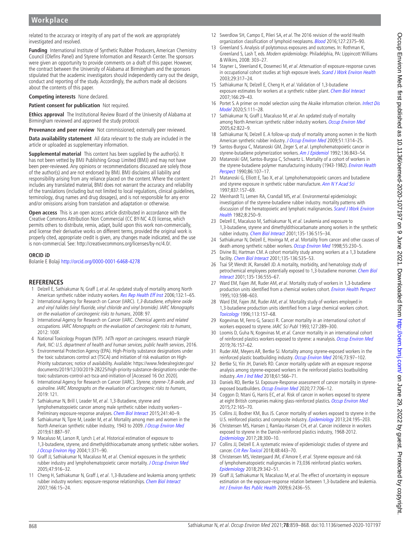# **Workplace**

related to the accuracy or integrity of any part of the work are appropriately investigated and resolved.

**Funding** International Institute of Synthetic Rubber Producers, American Chemistry Council (Olefins Panel) and Styrene Information and Research Center. The sponsors were given an opportunity to provide comments on a draft of this paper. However, the contract between the University of Alabama at Birmingham and the sponsors stipulated that the academic investigators should independently carry out the design, conduct and reporting of the study. Accordingly, the authors made all decisions about the contents of this paper.

**Competing interests** None declared.

**Patient consent for publication** Not required.

**Ethics approval** The Institutional Review Board of the University of Alabama at Birmingham reviewed and approved the study protocol.

**Provenance and peer review** Not commissioned; externally peer reviewed.

**Data availability statement** All data relevant to the study are included in the article or uploaded as supplementary information.

**Supplemental material** This content has been supplied by the author(s). It has not been vetted by BMJ Publishing Group Limited (BMJ) and may not have been peer-reviewed. Any opinions or recommendations discussed are solely those of the author(s) and are not endorsed by BMJ. BMJ disclaims all liability and responsibility arising from any reliance placed on the content. Where the content includes any translated material, BMJ does not warrant the accuracy and reliability of the translations (including but not limited to local regulations, clinical guidelines, terminology, drug names and drug dosages), and is not responsible for any error and/or omissions arising from translation and adaptation or otherwise.

**Open access** This is an open access article distributed in accordance with the Creative Commons Attribution Non Commercial (CC BY-NC 4.0) license, which permits others to distribute, remix, adapt, build upon this work non-commercially, and license their derivative works on different terms, provided the original work is properly cited, appropriate credit is given, any changes made indicated, and the use is non-commercial. See: <http://creativecommons.org/licenses/by-nc/4.0/>.

#### **ORCID iD**

Bolanle E Bolaji<http://orcid.org/0000-0001-6468-4278>

#### **REFERENCES**

- <span id="page-9-0"></span>Delzell E, Sathiakumar N, Graff J, et al. An updated study of mortality among North American synthetic rubber industry workers. [Res Rep Health Eff Inst](http://www.ncbi.nlm.nih.gov/pubmed/17326338) 2006;132:1-65.
- <span id="page-9-1"></span>2 International Agency for Research on Cancer (IARC). 1,3-Butadiene, ethylene oxide and vinyl halides (vinyl fluoride, vinyl chloride and vinyl bromide). IARC Monographs on the evaluation of carcinogenic risks to humans, 2008: 97.
- 3 International Agency for Research on Cancer (IARC. Chemical agents and related occupations. IARC Monographs on the evaluation of carcinogenic risks to humans,  $2012 \cdot 100F$
- <span id="page-9-2"></span>4 National Toxicology Program (NTP). 14Th report on carcinogens. research triangle Park, NC: U.S. department of health and human services, public health services, 2016.
- <span id="page-9-3"></span>5 Environmental Protection Agency (EPA). High-Priority substance designations under the toxic substances control act (TSCA) and initiation of risk evaluation on High-Priority substances; notice of availability. Available: [https://www.federalregister.gov/](https://www.federalregister.gov/documents/2019/12/30/2019-28225/high-priority-substance-designations-under-the-toxic-substances-control-act-tsca-and-initiation-of) [documents/2019/12/30/2019-28225/high-priority-substance-designations-under-the](https://www.federalregister.gov/documents/2019/12/30/2019-28225/high-priority-substance-designations-under-the-toxic-substances-control-act-tsca-and-initiation-of)[toxic-substances-control-act-tsca-and-initiation-of](https://www.federalregister.gov/documents/2019/12/30/2019-28225/high-priority-substance-designations-under-the-toxic-substances-control-act-tsca-and-initiation-of) [Accessed 16 Oct 2020].
- <span id="page-9-4"></span>6 International Agency for Research on Cancer (IARC). Styrene, styrene-7,8-oxide, and quinoline. IARC Monographs on the evaluation of carcinogenic risks to humans,  $2019:121$
- <span id="page-9-5"></span>7 Sathiakumar N, Brill I, Leader M, et al. 1,3-Butadiene, styrene and lymphohematopoietic cancer among male synthetic rubber industry workers-- Preliminary exposure-response analyses. [Chem Biol Interact](http://dx.doi.org/10.1016/j.cbi.2015.09.003) 2015;241:40-9.
- <span id="page-9-6"></span>8 Sathiakumar N, Tipre M, Leader M, et al. Mortality among men and women in the North American synthetic rubber industry, 1943 to 2009. [J Occup Environ Med](http://dx.doi.org/10.1097/JOM.0000000000001688) 2019;61:887–97.
- <span id="page-9-7"></span>9 Macaluso M, Larson R, Lynch J, et al. Historical estimation of exposure to 1,3-butadiene, styrene, and dimethyldithiocarbamate among synthetic rubber workers. [J Occup Environ Hyg](http://dx.doi.org/10.1080/15459620490452004) 2004;1:371–90.
- <span id="page-9-8"></span>10 Graff JJ, Sathiakumar N, Macaluso M, et al. Chemical exposures in the synthetic rubber industry and lymphohematopoietic cancer mortality. [J Occup Environ Med](http://dx.doi.org/10.1097/01.jom.0000172866.16615.db) 2005;47:916–32.
- <span id="page-9-9"></span>11 Cheng H, Sathiakumar N, Graff J, et al. 1,3-Butadiene and leukemia among synthetic rubber industry workers: exposure-response relationships. [Chem Biol Interact](http://dx.doi.org/10.1016/j.cbi.2006.10.004) 2007;166:15–24.
- <span id="page-9-10"></span>12 Swerdlow SH, Campo E, Pileri SA, et al. The 2016 revision of the world Health organization classification of lymphoid neoplasms. [Blood](http://dx.doi.org/10.1182/blood-2016-01-643569) 2016;127:2375-90.
- <span id="page-9-11"></span>13 Greenland S. Analysis of polytomous exposures and outcomes. In: Rothman K, Greenland S, Lash T, eds. Modern epidemiology. Philadelphia, PA: Lippincott Williams & Wilkins, 2008: 303–27.
- <span id="page-9-12"></span>14 Stayner L, Steenland K, Dosemeci M, et al. Attenuation of exposure-response curves in occupational cohort studies at high exposure levels. [Scand J Work Environ Health](http://dx.doi.org/10.5271/sjweh.737) 2003;29:317–24.
- <span id="page-9-13"></span>15 Sathiakumar N, Delzell E, Cheng H, et al. Validation of 1,3-butadiene exposure estimates for workers at a synthetic rubber plant. [Chem Biol Interact](http://dx.doi.org/10.1016/j.cbi.2006.08.016) 2007;166:29–43.
- <span id="page-9-14"></span>16 Portet S. A primer on model selection using the Akaike information criterion. Infect Dis [Model](http://dx.doi.org/10.1016/j.idm.2019.12.010) 2020;5:111–28.
- 17 Sathiakumar N, Graff J, Macaluso M, et al. An updated study of mortality among North American synthetic rubber industry workers. [Occup Environ Med](http://dx.doi.org/10.1136/oem.2004.018176) 2005;62:822–9.
- <span id="page-9-15"></span>18 Sathiakumar N, Delzell E. A follow-up study of mortality among women in the North American synthetic rubber industry. [J Occup Environ Med](http://dx.doi.org/10.1097/JOM.0b013e3181bd8972) 2009;51:1314-25.
- <span id="page-9-16"></span>19 Santos-Burgoa C, Matanoski GM, Zeger S, et al. Lymphohematopoietic cancer in styrene-butadiene polymerization workers. [Am J Epidemiol](http://dx.doi.org/10.1093/aje/136.7.843) 1992;136:843-54.
- 20 Matanoski GM, Santos-Burgoa C, Schwartz L. Mortality of a cohort of workers in the styrene-butadiene polymer manufacturing industry (1943-1982). Environ Health [Perspect](http://dx.doi.org/10.1289/ehp.9086107) 1990;86:107–17.
- <span id="page-9-24"></span>21 Matanoski G, Elliott E, Tao X, et al. Lymphohematopoietic cancers and butadiene and styrene exposure in synthetic rubber manufacture. [Ann N Y Acad Sci](http://dx.doi.org/10.1111/j.1749-6632.1997.tb56872.x) 1997;837:157–69.
- 22 Meinhardt TJ, Lemen RA, Crandall MS, et al. Environmental epidemiologic investigation of the styrene-butadiene rubber industry. mortality patterns with discussion of the hematopoietic and lymphatic malignancies. Scand J Work Environ [Health](http://dx.doi.org/10.5271/sjweh.2469) 1982;8:250–9.
- 23 Delzell E, Macaluso M, Sathiakumar N, et al. Leukemia and exposure to 1,3-butadiene, styrene and dimethyldithiocarbamate among workers in the synthetic rubber industry. [Chem Biol Interact](http://dx.doi.org/10.1016/S0009-2797(01)00223-X) 2001;135-136:515–34.
- 24 Sathiakumar N, Delzell E, Hovinga M, et al. Mortality from cancer and other causes of death among synthetic rubber workers. [Occup Environ Med](http://dx.doi.org/10.1136/oem.55.4.230) 1998;55:230-5.
- <span id="page-9-17"></span>25 Divine BJ, Hartman CM. A cohort mortality study among workers at a 1,3 butadiene facility. [Chem Biol Interact](http://dx.doi.org/10.1016/S0009-2797(01)00212-5) 2001;135-136:535–53.
- 26 Tsai SP, Wendt JK, Ransdell JD. A mortality, morbidity, and hematology study of petrochemical employees potentially exposed to 1,3-butadiene monomer. Chem Biol [Interact](http://dx.doi.org/10.1016/S0009-2797(01)00186-7) 2001;135-136:555–67.
- 27 Ward EM, Fajen JM, Ruder AM, et al. Mortality study of workers in 1,3-butadiene production units identified from a chemical workers cohort. [Environ Health Perspect](http://dx.doi.org/10.1289/ehp.95103598) 1995;103:598–603.
- 28 Ward EM, Fajen JM, Ruder AM, et al. Mortality study of workers employed in 1,3-butadiene production units identified from a large chemical workers cohort. [Toxicology](http://dx.doi.org/10.1016/0300-483X(96)03441-5) 1996;113:157–68.
- <span id="page-9-18"></span>29 Kogevinas M, Ferro G, Saracci R. Cancer mortality in an international cohort of workers exposed to styrene. IARC Sci Publ 1993;127:289–300.
- <span id="page-9-19"></span>30 Loomis D, Guha N, Kogevinas M, et al. Cancer mortality in an international cohort of reinforced plastics workers exposed to styrene: a reanalysis. [Occup Environ Med](http://dx.doi.org/10.1136/oemed-2018-105131) 2019;76:157–62.
- <span id="page-9-20"></span>31 Ruder AM, Meyers AR, Bertke SJ. Mortality among styrene-exposed workers in the reinforced plastic boatbuilding industry. [Occup Environ Med](http://dx.doi.org/10.1136/oemed-2015-102990) 2016;73:97-102.
- 32 Bertke SJ, Yiin JH, Daniels RD. Cancer mortality update with an exposure response analysis among styrene-exposed workers in the reinforced plastics boatbuilding industry. [Am J Ind Med](http://dx.doi.org/10.1002/ajim.22853) 2018;61:566–71.
- 33 Daniels RD, Bertke SJ. Exposure-Response assessment of cancer mortality in styrene-exposed boatbuilders. [Occup Environ Med](http://dx.doi.org/10.1136/oemed-2020-106445) 2020;77:706-12.
- <span id="page-9-21"></span>34 Coggon D, Ntani G, Harris EC, et al. Risk of cancer in workers exposed to styrene at eight British companies making glass-reinforced plastics. [Occup Environ Med](http://dx.doi.org/10.1136/oemed-2014-102382) 2015;72:165–70.
- <span id="page-9-23"></span>35 Collins JJ, Bodner KM, Bus JS. Cancer mortality of workers exposed to styrene in the U.S. reinforced plastics and composite industry. [Epidemiology](http://dx.doi.org/10.1097/EDE.0b013e318281a30f) 2013;24:195-203.
- <span id="page-9-22"></span>36 Christensen MS, Hansen J, Ramlau-Hansen CH, et al. Cancer incidence in workers exposed to styrene in the Danish-reinforced plastics industry, 1968-2012. [Epidemiology](http://dx.doi.org/10.1097/EDE.0000000000000608) 2017;28:300–10.
- 37 Collins JJ, Delzell E. A systematic review of epidemiologic studies of styrene and cancer. [Crit Rev Toxicol](http://dx.doi.org/10.1080/10408444.2018.1445700) 2018;48:443–70.
- 38 Christensen MS, Vestergaard JM, d'Amore F, et al. Styrene exposure and risk of lymphohematopoietic malignancies in 73,036 reinforced plastics workers. [Epidemiology](http://dx.doi.org/10.1097/EDE.0000000000000819) 2018;29:342–51.
- 39 Graff JJ, Sathiakumar N, Macaluso M, et al. The effect of uncertainty in exposure estimation on the exposure-response relation between 1,3-butadiene and leukemia. [Int J Environ Res Public Health](http://dx.doi.org/10.3390/ijerph6092436) 2009;6:2436–55.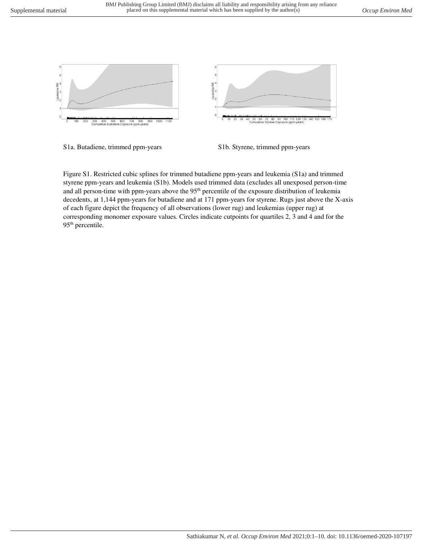

S1a. Butadiene, trimmed ppm-years S1b. Styrene, trimmed ppm-years

Figure S1. Restricted cubic splines for trimmed butadiene ppm-years and leukemia (S1a) and trimmed styrene ppm-years and leukemia (S1b). Models used trimmed data (excludes all unexposed person-time and all person-time with ppm-years above the 95<sup>th</sup> percentile of the exposure distribution of leukemia decedents, at 1,144 ppm-years for butadiene and at 171 ppm-years for styrene. Rugs just above the X-axis of each figure depict the frequency of all observations (lower rug) and leukemias (upper rug) at corresponding monomer exposure values. Circles indicate cutpoints for quartiles 2, 3 and 4 and for the 95<sup>th</sup> percentile.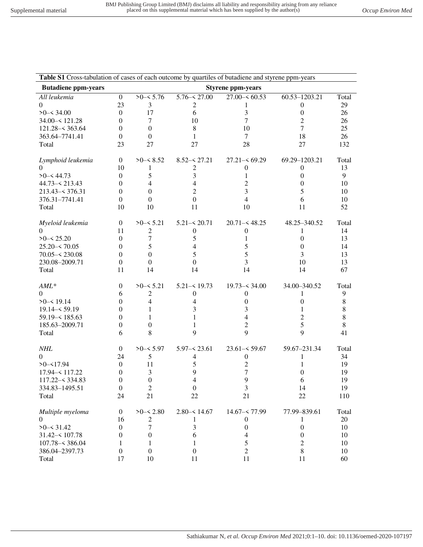| Table S1 Cross-tabulation of cases of each outcome by quartiles of butadiene and styrene ppm-years |                  |                  |                  |                          |                  |       |
|----------------------------------------------------------------------------------------------------|------------------|------------------|------------------|--------------------------|------------------|-------|
| <b>Butadiene ppm-years</b>                                                                         |                  |                  |                  | <b>Styrene ppm-years</b> |                  |       |
| All leukemia                                                                                       | $\mathbf{0}$     | $>0 - 5.76$      | $5.76 - 27.00$   | $27.00 - 60.53$          | 60.53-1203.21    | Total |
| $\Omega$                                                                                           | 23               | 3                | 2                |                          | $\boldsymbol{0}$ | 29    |
| $>0 - 34.00$                                                                                       | $\boldsymbol{0}$ | 17               | 6                | 3                        | $\boldsymbol{0}$ | 26    |
| 34.00 - 121.28                                                                                     | $\overline{0}$   | 7                | 10               | $\overline{7}$           | $\overline{c}$   | 26    |
| $121.28 - 363.64$                                                                                  | $\boldsymbol{0}$ | $\mathbf{0}$     | 8                | 10                       | 7                | 25    |
| 363.64-7741.41                                                                                     | $\boldsymbol{0}$ | $\boldsymbol{0}$ | 1                | $\tau$                   | 18               | 26    |
| Total                                                                                              | 23               | 27               | 27               | 28                       | 27               | 132   |
| Lymphoid leukemia                                                                                  | $\overline{0}$   | $>0$ – $< 8.52$  | $8.52 - 27.21$   | $27.21 - 69.29$          | 69.29-1203.21    | Total |
| 0                                                                                                  | 10               | 1                | 2                | $\boldsymbol{0}$         | $\theta$         | 13    |
| $>0 - 44.73$                                                                                       | $\theta$         | 5                | 3                | 1                        | $\theta$         | 9     |
| $44.73 - 213.43$                                                                                   | $\Omega$         | 4                | 4                | 2                        | $\theta$         | 10    |
| $213.43 - 376.31$                                                                                  | $\boldsymbol{0}$ | $\mathbf{0}$     | $\overline{c}$   | 3                        | 5                | 10    |
| 376.31-7741.41                                                                                     | $\boldsymbol{0}$ | $\boldsymbol{0}$ | $\boldsymbol{0}$ | $\overline{4}$           | 6                | 10    |
| Total                                                                                              | 10               | 10               | 11               | 10                       | 11               | 52    |
| Myeloid leukemia                                                                                   | $\overline{0}$   | $>0-5.21$        | $5.21 - 5.20.71$ | $20.71 - 48.25$          | 48.25-340.52     | Total |
| $\Omega$                                                                                           | 11               | $\overline{c}$   | $\boldsymbol{0}$ | 0                        | 1                | 14    |
| $>0 - 5.20$                                                                                        | $\theta$         | $\tau$           | 5                | 1                        | $\mathbf{0}$     | 13    |
| $25.20 - 70.05$                                                                                    | 0                | 5                | 4                | 5                        | $\theta$         | 14    |
| $70.05 - 230.08$                                                                                   | $\Omega$         | $\Omega$         | 5                | 5                        | 3                | 13    |
| 230.08-2009.71                                                                                     | $\theta$         | $\mathbf{0}$     | $\Omega$         | 3                        | 10               | 13    |
| Total                                                                                              | 11               | 14               | 14               | 14                       | 14               | 67    |
| $AML^*$                                                                                            | $\boldsymbol{0}$ | $>0$ - $< 5.21$  | $5.21 - 19.73$   | $19.73 - 34.00$          | 34.00-340.52     | Total |
| $\Omega$                                                                                           | 6                | $\mathfrak{2}$   | $\mathbf{0}$     | $\mathbf{0}$             | 1                | 9     |
| $>0 - 519.14$                                                                                      | 0                | 4                | 4                | 0                        | 0                | 8     |
| $19.14 - 59.19$                                                                                    | 0                |                  | 3                | 3                        | 1                | 8     |
| $59.19 - 185.63$                                                                                   | 0                |                  | 1                | 4                        | 2                | 8     |
| 185.63-2009.71                                                                                     | $\overline{0}$   | 0                | 1                | 2                        | 5                | 8     |
| Total                                                                                              | 6                | 8                | 9                | 9                        | 9                | 41    |
| <b>NHL</b>                                                                                         | $\boldsymbol{0}$ | $>0 - 5.97$      | $5.97 - 23.61$   | $23.61 - 59.67$          | 59.67-231.34     | Total |
| $\overline{0}$                                                                                     | 24               | 5                | 4                | $\boldsymbol{0}$         | 1                | 34    |
| $>0 - 17.94$                                                                                       | $\boldsymbol{0}$ | 11               | 5                | $\overline{c}$           | 1                | 19    |
| 17.94 - 117.22                                                                                     | $\boldsymbol{0}$ | 3                | 9                | 7                        | 0                | 19    |
| $117.22 - 334.83$                                                                                  | 0                | $\boldsymbol{0}$ | 4                | 9                        | 6                | 19    |
| 334.83-1495.51                                                                                     | $\boldsymbol{0}$ | $\sqrt{2}$       | $\boldsymbol{0}$ | 3                        | 14               | 19    |
| Total                                                                                              | 24               | 21               | 22               | 21                       | 22               | 110   |
| Multiple myeloma                                                                                   | $\boldsymbol{0}$ | $>0 - 5.80$      | $2.80 - 514.67$  | $14.67 - 77.99$          | 77.99-839.61     | Total |
| $\overline{0}$                                                                                     | 16               | $\boldsymbol{2}$ | 1                | $\boldsymbol{0}$         | 1                | 20    |
| $>0-531.42$                                                                                        | $\boldsymbol{0}$ | $\tau$           | 3                | $\boldsymbol{0}$         | $\boldsymbol{0}$ | 10    |
| $31.42 - 107.78$                                                                                   | $\boldsymbol{0}$ | $\boldsymbol{0}$ | 6                | 4                        | $\boldsymbol{0}$ | 10    |
| $107.78 - 386.04$                                                                                  | 1                | 1                | 1                | 5                        | $\overline{c}$   | 10    |
| 386.04-2397.73                                                                                     | $\boldsymbol{0}$ | $\boldsymbol{0}$ | $\boldsymbol{0}$ | $\overline{2}$           | 8                | 10    |
| Total                                                                                              | 17               | 10               | 11               | 11                       | 11               | 60    |
|                                                                                                    |                  |                  |                  |                          |                  |       |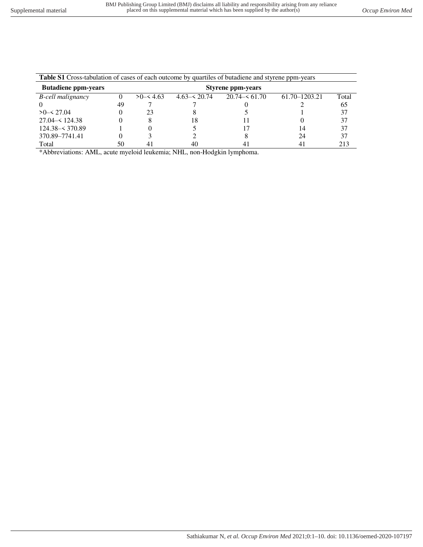| <b>Table S1</b> Cross-tabulation of cases of each outcome by quartiles of butadiene and styrene ppm-years |    |                          |                  |                 |                   |       |  |  |  |  |
|-----------------------------------------------------------------------------------------------------------|----|--------------------------|------------------|-----------------|-------------------|-------|--|--|--|--|
| <b>Butadiene ppm-years</b>                                                                                |    | <b>Styrene ppm-years</b> |                  |                 |                   |       |  |  |  |  |
| <b>B</b> -cell malignancy                                                                                 |    | >0< 4.63                 | $4.63 - 5.20.74$ | $20.74 - 61.70$ | $61.70 - 1203.21$ | Total |  |  |  |  |
|                                                                                                           | 49 |                          |                  |                 |                   | 65    |  |  |  |  |
| >0< 27.04                                                                                                 |    | 23                       |                  |                 |                   | 37    |  |  |  |  |
| $27.04 - 124.38$                                                                                          |    | x                        | 18               |                 |                   | 37    |  |  |  |  |
| $124.38 - 370.89$                                                                                         |    |                          |                  |                 | 14                | 37    |  |  |  |  |
| 370.89-7741.41                                                                                            |    |                          |                  |                 | 24                | 37    |  |  |  |  |
| Total                                                                                                     | 50 | 41                       | 40               |                 |                   | 213   |  |  |  |  |

\*Abbreviations: AML, acute myeloid leukemia; NHL, non-Hodgkin lymphoma.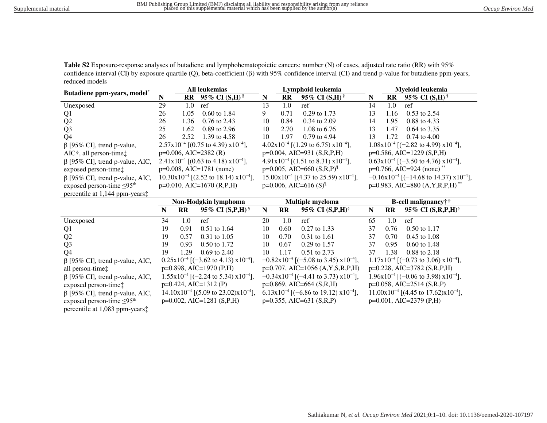**Table S2** Exposure-response analyses of butadiene and lymphohematopoietic cancers: number (N) of cases, adjusted rate ratio (RR) with 95% confidence interval (CI) by exposure quartile (Q), beta-coefficient ( $\beta$ ) with 95% confidence interval (CI) and trend p-value for butadiene ppm-years, reduced models

| All leukemias<br>Butadiene ppm-years, model <sup>*</sup> |                                                | Lymphoid leukemia |                                                             |                                       | Myeloid leukemia                                 |                                                             |           |              |                                                             |
|----------------------------------------------------------|------------------------------------------------|-------------------|-------------------------------------------------------------|---------------------------------------|--------------------------------------------------|-------------------------------------------------------------|-----------|--------------|-------------------------------------------------------------|
|                                                          | ${\bf N}$                                      | $\mathbf{R}$      | 95% CI $(S,H)$ <sup>§</sup>                                 | N                                     | <b>RR</b>                                        | 95% CI $(S,H)$ <sup>§</sup>                                 | N         | <b>RR</b>    | 95% CI $(S,H)$ <sup>§</sup>                                 |
| Unexposed                                                | 29                                             | 1.0               | ref                                                         | 13                                    | 1.0                                              | ref                                                         | 14        | 1.0          | ref                                                         |
| Q <sub>1</sub>                                           | 26                                             | 1.05              | 0.60 to 1.84                                                | 9                                     | 0.71                                             | 0.29 to 1.73                                                | 13        | 1.16         | 0.53 to 2.54                                                |
| Q2                                                       | 26                                             | 1.36              | 0.76 to 2.43                                                | 10                                    | 0.84                                             | 0.34 to 2.09                                                | 14        | 1.95         | 0.88 to 4.33                                                |
| Q <sub>3</sub>                                           | 25                                             | 1.62              | 0.89 to 2.96                                                | 10                                    | 2.70                                             | 1.08 to 6.76                                                | 13        | 1.47         | 0.64 to 3.35                                                |
| Q <sub>4</sub>                                           | 26                                             | 2.52              | 1.39 to 4.58                                                | 10                                    | 1.97                                             | 0.79 to 4.94                                                | 13        | 1.72         | $0.74$ to $4.00$                                            |
| $\beta$ [95% CI], trend p-value,                         |                                                |                   | $2.57 \times 10^{-4}$ [(0.75 to 4.39) $\times 10^{-4}$ ],   |                                       |                                                  | $4.02 \times 10^{-4}$ [(1.29 to 6.75) $\times 10^{-4}$ ],   |           |              | $1.08 \times 10^{-4}$ [(-2.82 to 4.99) $\times 10^{-4}$ ],  |
| $AIC†$ , all person-time $\ddagger$                      |                                                |                   | $p=0.006$ , AIC=2382 (R)                                    |                                       |                                                  | $p=0.004$ , AIC=931 (S,R,P,H)                               |           |              | $p=0.586$ , AIC=1229 (S,P,H)                                |
| $\beta$ [95% CI], trend p-value, AIC,                    |                                                |                   | $2.41x10^{-4}$ [(0.63 to 4.18) $x10^{-4}$ ],                |                                       |                                                  | $4.91x10^{-4}$ [(1.51 to 8.31) $x10^{-4}$ ],                |           |              | $0.63 \times 10^{-4}$ [(-3.50 to 4.76) $\times 10^{-4}$ ],  |
| exposed person-time:                                     |                                                |                   | $p=0.008$ , AIC=1781 (none)                                 |                                       |                                                  | $p=0.005$ , AIC=660 (S,R,P) <sup>II</sup>                   |           |              | $p=0.766$ , AIC=924 (none) <sup>**</sup>                    |
| $\beta$ [95% CI], trend p-value, AIC,                    | $10.30x10^{-4}$ [(2.52 to 18.14) $x10^{-4}$ ], |                   | $15.00 \times 10^{-4}$ [(4.37 to 25.59) $\times 10^{-4}$ ], |                                       | $-0.16x10^{-4}$ [(-14.68 to 14.37) $x10^{-4}$ ], |                                                             |           |              |                                                             |
| exposed person-time $\leq 95$ <sup>th</sup>              | $p=0.010$ , AIC=1670 (R,P,H)                   |                   |                                                             | $p=0.006$ , AIC=616 (S) <sup>II</sup> |                                                  | $p=0.983$ , AIC=880 (A, Y, R, P, H) <sup>**</sup>           |           |              |                                                             |
| percentile at 1,144 ppm-years:                           |                                                |                   |                                                             |                                       |                                                  |                                                             |           |              |                                                             |
|                                                          | Non-Hodgkin lymphoma                           |                   |                                                             |                                       |                                                  | Multiple myeloma                                            |           |              | B-cell malignancy††                                         |
|                                                          | N                                              | RR                | 95% CI (S,P,H) <sup>§</sup>                                 | ${\bf N}$                             | $\mathbf{R}$                                     | 95% CI (S,P,H) <sup>§</sup>                                 | ${\bf N}$ | $\mathbf{R}$ | 95% CI (S,R,P,H) <sup>§</sup>                               |
| Unexposed                                                | 34                                             | 1.0               | ref                                                         | 20                                    | 1.0                                              | ref                                                         | 65        | 1.0          | ref                                                         |
| Q <sub>1</sub>                                           | 19                                             | 0.91              | 0.51 to 1.64                                                | 10                                    | 0.60                                             | 0.27 to 1.33                                                | 37        | 0.76         | 0.50 to 1.17                                                |
| Q2                                                       | 19                                             | 0.57              | $0.31$ to $1.05$                                            | 10                                    | 0.70                                             | 0.31 to 1.61                                                | 37        | 0.70         | $0.45$ to $1.08$                                            |
| Q <sub>3</sub>                                           | 19                                             | 0.93              | 0.50 to 1.72                                                | 10                                    | 0.67                                             | 0.29 to 1.57                                                | 37        | 0.95         | 0.60 to 1.48                                                |
| Q <sub>4</sub>                                           | 19                                             | 1.29              | $0.69$ to 2.40                                              | 10                                    | 1.17                                             | 0.51 to 2.73                                                | 37        | 1.38         | 0.88 to 2.18                                                |
| $\beta$ [95% CI], trend p-value, AIC,                    |                                                |                   | $0.25 \times 10^{-4}$ [(-3.62 to 4.13) $\times 10^{-4}$ ],  |                                       |                                                  | $-0.82 \times 10^{-4}$ [(-5.08 to 3.45) $\times 10^{-4}$ ], |           |              | $1.17x10^{-4}$ [(-0.73 to 3.06) $x10^{-4}$ ],               |
| all person-time:                                         | p=0.898, AIC=1970 (P,H)                        |                   | $p=0.707$ , AIC=1056 (A,Y,S,R,P,H)                          |                                       | p=0.228, AIC=3782 (S,R,P,H)                      |                                                             |           |              |                                                             |
|                                                          |                                                |                   |                                                             |                                       |                                                  |                                                             |           |              |                                                             |
| $\beta$ [95% CI], trend p-value, AIC,                    |                                                |                   | $1.55x10^{-4}$ [(-2.24 to 5.34) $x10^{-4}$ ],               |                                       |                                                  | $-0.34x10^{-4}$ [(-4.41 to 3.73) $x10^{-4}$ ],              |           |              | $1.96x10^{-4}$ [(-0.06 to 3.98) x10 <sup>-4</sup> ],        |
| exposed person-time:                                     |                                                |                   | $p=0.424$ , AIC=1312 (P)                                    |                                       |                                                  | p=0.869, AIC=664 (S,R,H)                                    |           |              | $p=0.058$ , AIC=2514 (S,R,P)                                |
| $\beta$ [95% CI], trend p-value, AIC,                    |                                                |                   | $14.10x10^{-4}$ [(5.09 to 23.02)x10 <sup>-4</sup> ],        |                                       |                                                  | $6.13x10^{-4}$ [(-6.86 to 19.12) $x10^{-4}$ ],              |           |              | $11.00 \times 10^{-4}$ [(4.45 to 17.62) $\times 10^{-4}$ ], |
| exposed person-time $\leq$ 95 <sup>th</sup>              |                                                |                   | $p=0.002$ , AIC=1281 (S,P,H)                                |                                       |                                                  | $p=0.355$ , AIC=631 (S,R,P)                                 |           |              | $p=0.001$ , AIC=2379 (P,H)                                  |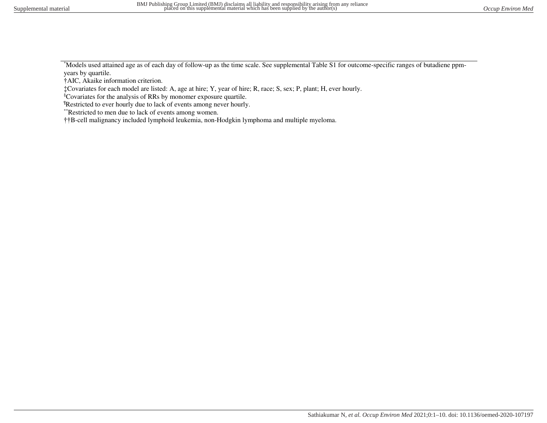\*Models used attained age as of each day of follow-up as the time scale. See supplemental Table S1 for outcome-specific ranges of butadiene ppmyears by quartile.

†AIC, Akaike information criterion.

‡Covariates for each model are listed: A, age at hire; Y, year of hire; R, race; S, sex; P, plant; H, ever hourly.

§Covariates for the analysis of RRs by monomer exposure quartile.

¶Restricted to ever hourly due to lack of events among never hourly.

\*\*Restricted to men due to lack of events among women.

††B-cell malignancy included lymphoid leukemia, non-Hodgkin lymphoma and multiple myeloma.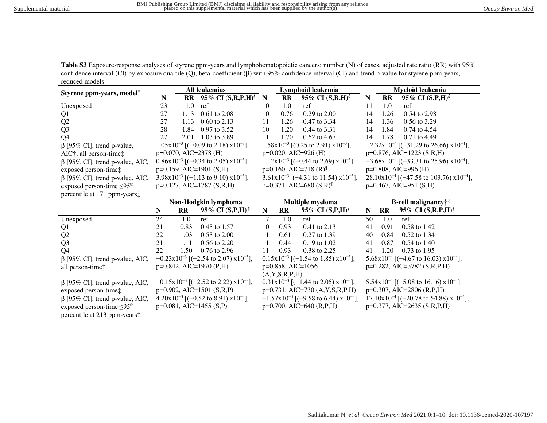Table S3 Exposure-response analyses of styrene ppm-years and lymphohematopoietic cancers: number (N) of cases, adjusted rate ratio (RR) with 95% confidence interval (CI) by exposure quartile (Q), beta-coefficient ( $\beta$ ) with 95% confidence interval (CI) and trend p-value for styrene ppm-years, reduced models

| Styrene ppm-years, model*                   | <b>All leukemias</b> |                        |                                                             | Lymphoid leukemia |                        |                                                           |                     | Myeloid leukemia       |                                                                |  |
|---------------------------------------------|----------------------|------------------------|-------------------------------------------------------------|-------------------|------------------------|-----------------------------------------------------------|---------------------|------------------------|----------------------------------------------------------------|--|
|                                             | N                    | RR                     | 95% CI (S,R,P,H) <sup>§</sup>                               | N                 | <b>RR</b>              | 95% CI $(S,R,H)$ <sup>§</sup>                             | N                   | $\mathbf{R}$           | 95% CI $(S, P, H)$ <sup>§</sup>                                |  |
| Unexposed                                   | 23                   | 1.0                    | ref                                                         | 10                | 1.0                    | ref                                                       | 11                  | 1.0                    | ref                                                            |  |
| Q <sub>1</sub>                              | 27                   | 1.13                   | $0.61$ to $2.08$                                            | 10                | 0.76                   | $0.29$ to $2.00$                                          | 14                  | 1.26                   | 0.54 to 2.98                                                   |  |
| Q2                                          | 27                   | 1.13                   | $0.60$ to 2.13                                              | 11                | 1.26                   | 0.47 to 3.34                                              | 14                  | 1.36                   | 0.56 to 3.29                                                   |  |
| Q <sub>3</sub>                              | 28                   | 1.84                   | 0.97 to 3.52                                                | 10                | 1.20                   | 0.44 to 3.31                                              | 14                  | 1.84                   | 0.74 to 4.54                                                   |  |
| Q <sub>4</sub>                              | 27                   | 2.01                   | 1.03 to 3.89                                                | 11                | 1.70                   | 0.62 to 4.67                                              | 14                  | 1.78                   | 0.71 to 4.49                                                   |  |
| $\beta$ [95% CI], trend p-value,            |                      |                        | $1.05x10^{-3}$ [(-0.09 to 2.18) $x10^{-3}$ ],               |                   |                        | $1.58 \times 10^{-3}$ [(0.25 to 2.91) $\times 10^{-3}$ ], |                     |                        | $-2.32 \times 10^{-4}$ [(-31.29 to 26.66) $\times 10^{-4}$ ],  |  |
| AIC†, all person-time‡                      |                      |                        | $p=0.070$ , AIC=2378 (H)                                    |                   |                        | $p=0.020$ , AIC=926 (H)                                   |                     |                        | $p=0.876$ , AIC=1223 (S,R,H)                                   |  |
| $\beta$ [95% CI], trend p-value, AIC,       |                      |                        | $0.86 \times 10^{-3}$ [(-0.34 to 2.05) $\times 10^{-3}$ ],  |                   |                        | $1.12x10^{-3}$ [(-0.44 to 2.69) $x10^{-3}$ ],             |                     |                        | $-3.68 \times 10^{-4}$ [(-33.31 to 25.96) $\times 10^{-4}$ ],  |  |
| exposed person-time:                        |                      |                        | $p=0.159$ , AIC=1901 (S,H)                                  |                   |                        | $p=0.160$ , AIC=718 (R) <sup>II</sup>                     |                     |                        | $p=0.808$ , AIC=996 (H)                                        |  |
| $\beta$ [95% CI], trend p-value, AIC,       |                      |                        | $3.98 \times 10^{-3}$ [(-1.13 to 9.10) $\times 10^{-3}$ ],  |                   |                        | $3.61x10^{-3}$ [(-4.31 to 11.54) $x10^{-3}$ ],            |                     |                        | $28.10 \times 10^{-4}$ [(-47.58 to 103.76) $\times 10^{-4}$ ], |  |
| exposed person-time $\leq 95$ <sup>th</sup> |                      |                        | $p=0.127$ , AIC=1787 (S,R,H)                                |                   |                        | $p=0.371$ , AIC=680 (S,R) <sup>II</sup>                   |                     |                        | $p=0.467$ , AIC=951 (S,H)                                      |  |
| percentile at 171 ppm-years $\ddagger$      |                      |                        |                                                             |                   |                        |                                                           |                     |                        |                                                                |  |
|                                             | Non-Hodgkin lymphoma |                        |                                                             | Multiple myeloma  |                        |                                                           | B-cell malignancy†† |                        |                                                                |  |
|                                             | N                    | $\mathbf{R}\mathbf{R}$ | 95% CI $(S, P, H)$ <sup>§</sup>                             | $\mathbf N$       | $\mathbf{R}\mathbf{R}$ | 95% CI (S,P,H) <sup>§</sup>                               | N                   | $\mathbf{R}\mathbf{R}$ | 95% CI $(S, R, P, H)$ <sup>§</sup>                             |  |
| Unexposed                                   | 24                   | 1.0                    | ref                                                         | 17                | 1.0                    | ref                                                       | 50                  | 1.0                    | ref                                                            |  |
| Q <sub>1</sub>                              | 21                   | 0.83                   | 0.43 to 1.57                                                | 10                | 0.93                   | 0.41 to 2.13                                              | 41                  | 0.91                   | 0.58 to 1.42                                                   |  |
| Q2                                          | 22                   | 1.03                   | 0.53 to 2.00                                                | 11                | 0.61                   | 0.27 to 1.39                                              | 40                  | 0.84                   | 0.52 to 1.34                                                   |  |
| Q <sub>3</sub>                              | 21                   | 1.11                   | 0.56 to 2.20                                                | 11                | 0.44                   | $0.19$ to $1.02$                                          | 41                  | 0.87                   | $0.54$ to 1.40                                                 |  |
| Q <sub>4</sub>                              | 22                   | 1.50                   | 0.76 to 2.96                                                | 11                | 0.93                   | 0.38 to 2.25                                              | 41                  | 1.20                   | $0.73$ to $1.95$                                               |  |
| $\beta$ [95% CI], trend p-value, AIC,       |                      |                        | $-0.23 \times 10^{-3}$ [(-2.54 to 2.07) $\times 10^{-3}$ ], |                   |                        | $0.15x10^{-3}$ [(-1.54 to 1.85) $x10^{-3}$ ],             |                     |                        | $5.68 \times 10^{-4}$ [(-4.67 to 16.03) $\times 10^{-4}$ ],    |  |
| all person-time:                            |                      |                        | $p=0.842$ , AIC=1970 (P,H)                                  |                   | $p=0.858$ , AIC=1056   |                                                           |                     |                        | p=0.282, AIC=3782 (S,R,P,H)                                    |  |
|                                             |                      |                        |                                                             |                   | (A, Y, S, R, P, H)     |                                                           |                     |                        |                                                                |  |
| $\beta$ [95% CI], trend p-value, AIC,       |                      |                        | $-0.15x10^{-3}$ [(-2.52 to 2.22) $x10^{-3}$ ],              |                   |                        | $0.31x10^{-3}$ [(-1.44 to 2.05) $x10^{-3}$ ],             |                     |                        | $5.54 \times 10^{-4}$ [(-5.08 to 16.16) $\times 10^{-4}$ ],    |  |
| exposed person-time:                        |                      |                        | $p=0.902$ , AIC=1501 (S,R,P)                                |                   |                        | p=0.731, AIC=730 (A,Y,S,R,P,H)                            |                     |                        | p=0.307, AIC=2806 (R,P,H)                                      |  |
| $\beta$ [95% CI], trend p-value, AIC,       |                      |                        | $4.20 \times 10^{-3}$ [(-0.52 to 8.91) $\times 10^{-3}$ ],  |                   |                        | $-1.57x10^{-3}$ [(-9.58 to 6.44) $x10^{-3}$ ],            |                     |                        | $17.10 \times 10^{-4}$ [(-20.78 to 54.88) $\times 10^{-4}$ ],  |  |
| exposed person-time $\leq 95$ <sup>th</sup> |                      |                        | $p=0.081$ , AIC=1455 (S,P)                                  |                   |                        | $p=0.700$ , AIC=640 (R,P,H)                               |                     |                        | $p=0.377, AIC=2635 (S,R,P,H)$                                  |  |
| percentile at 213 ppm-years $\ddagger$      |                      |                        |                                                             |                   |                        |                                                           |                     |                        |                                                                |  |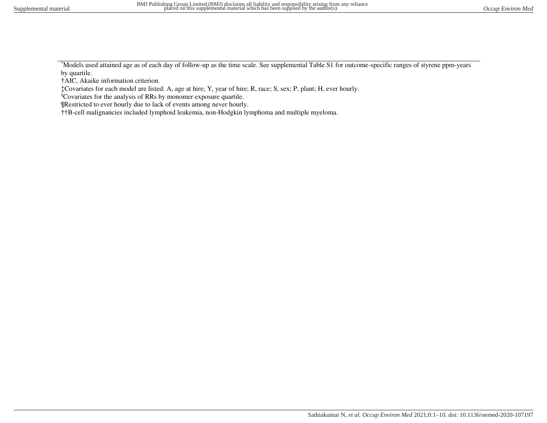\*Models used attained age as of each day of follow-up as the time scale. See supplemental Table S1 for outcome-specific ranges of styrene ppm-years by quartile.

†AIC, Akaike information criterion.

‡Covariates for each model are listed: A, age at hire; Y, year of hire; R, race; S, sex; P, plant; H, ever hourly.

§Covariates for the analysis of RRs by monomer exposure quartile.

¶Restricted to ever hourly due to lack of events among never hourly.

††B-cell malignancies included lymphoid leukemia, non-Hodgkin lymphoma and multiple myeloma.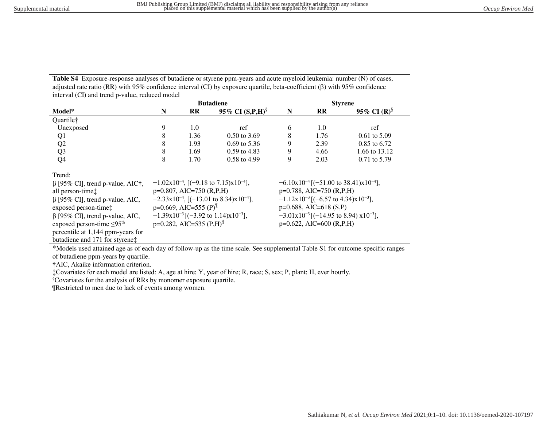**Table S4** Exposure-response analyses of butadiene or styrene ppm-years and acute myeloid leukemia: number (N) of cases, adjusted rate ratio (RR) with 95% confidence interval (CI) by exposure quartile, beta-coefficient ( $\beta$ ) with 95% confidence interval (CI) and trend p-value, reduced model

|                                             |                                         | <b>Butadiene</b>                      |                                                               |                                                             |                           | <b>Styrene</b>                                         |  |
|---------------------------------------------|-----------------------------------------|---------------------------------------|---------------------------------------------------------------|-------------------------------------------------------------|---------------------------|--------------------------------------------------------|--|
| Model*                                      | N                                       | $\mathbf{R}$                          | 95% CI $(S, P, H)$ <sup>§</sup>                               | N                                                           | <b>RR</b>                 | 95\% CI (R) <sup>§</sup>                               |  |
| Quartile†                                   |                                         |                                       |                                                               |                                                             |                           |                                                        |  |
| Unexposed                                   | 9                                       | 1.0                                   | ref                                                           | 6                                                           | 1.0                       | ref                                                    |  |
| Q1                                          | 8                                       | 1.36                                  | $0.50$ to 3.69                                                | 8                                                           | 1.76                      | $0.61$ to 5.09                                         |  |
| Q2                                          | 8                                       | 1.93                                  | $0.69$ to 5.36                                                | 9                                                           | 2.39                      | 0.85 to 6.72                                           |  |
| Q <sub>3</sub>                              | 8                                       | 1.69                                  | $0.59$ to 4.83                                                | 9                                                           | 4.66                      | 1.66 to 13.12                                          |  |
| Q <sub>4</sub>                              | 8                                       | 1.70                                  | $0.58$ to 4.99                                                | 9                                                           | 2.03                      | $0.71$ to 5.79                                         |  |
| Trend:                                      |                                         |                                       |                                                               |                                                             |                           |                                                        |  |
| $\beta$ [95% CI], trend p-value, AIC†,      |                                         |                                       | $-1.02 \times 10^{-4}$ , [(-9.18 to 7.15) $\times 10^{-4}$ ], |                                                             |                           | $-6.10x10^{-4}$ [(-51.00 to 38.41)x10 <sup>-4</sup> ], |  |
| all person-time <sup>†</sup>                |                                         | $p=0.807$ , AIC=750 (R,P,H)           |                                                               | p=0.788, AIC=750 (R,P,H)                                    |                           |                                                        |  |
| $\beta$ [95% CI], trend p-value, AIC,       |                                         |                                       | $-2.33x10^{-4}$ , [(-13.01 to 8.34)x10 <sup>-4</sup> ],       | $-1.12 \times 10^{-3}$ [(-6.57 to 4.34) $\times 10^{-3}$ ], |                           |                                                        |  |
| exposed person-time:                        |                                         | $p=0.669$ , AIC=555 (P) <sup>II</sup> |                                                               |                                                             | $p=0.688$ , AIC=618 (S,P) |                                                        |  |
| $\beta$ [95% CI], trend p-value, AIC,       |                                         |                                       | $-1.39x10^{-3}$ [(-3.92 to 1.14)x10 <sup>-3</sup> ],          | $-3.01x10^{-3}$ [(-14.95 to 8.94) $x10^{-3}$ ],             |                           |                                                        |  |
| exposed person-time $\leq$ 95 <sup>th</sup> | $p=0.282$ , AIC=535 (P,H) <sup>II</sup> |                                       |                                                               | $p=0.622$ , AIC=600 (R,P,H)                                 |                           |                                                        |  |
| percentile at 1,144 ppm-years for           |                                         |                                       |                                                               |                                                             |                           |                                                        |  |
| butadiene and 171 for styrene:              |                                         |                                       |                                                               |                                                             |                           |                                                        |  |

\*Models used attained age as of each day of follow-up as the time scale. See supplemental Table S1 for outcome-specific ranges

of butadiene ppm-years by quartile.

†AIC, Akaike information criterion.

‡Covariates for each model are listed: A, age at hire; Y, year of hire; R, race; S, sex; P, plant; H, ever hourly.

§Covariates for the analysis of RRs by monomer exposure quartile.

¶Restricted to men due to lack of events among women.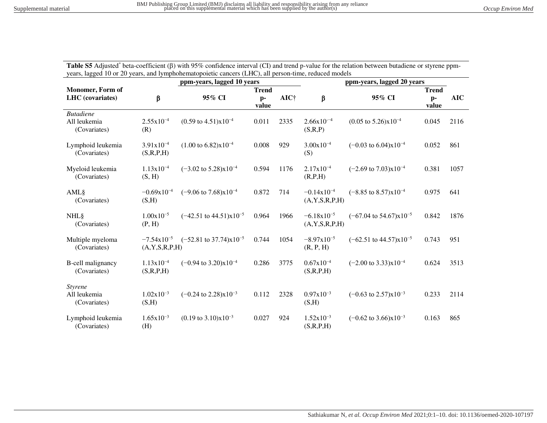Table S5 Adjusted\* beta-coefficient ( $\beta$ ) with 95% confidence interval (CI) and trend p-value for the relation between butadiene or styrene ppmyears, lagged 10 or 20 years, and lymphohematopoietic cancers (LHC), all person-time, reduced models

|                                                  | ppm-years, lagged 10 years                   |                                             |               |                  | ppm-years, lagged 20 years            |                                             |               |            |
|--------------------------------------------------|----------------------------------------------|---------------------------------------------|---------------|------------------|---------------------------------------|---------------------------------------------|---------------|------------|
| <b>Monomer</b> , Form of                         |                                              | <b>Trend</b>                                |               |                  |                                       | <b>Trend</b>                                |               |            |
| <b>LHC</b> (covariates)                          | β                                            | 95% CI                                      | $p-$<br>value | AIC <sup>†</sup> | β                                     | 95% CI                                      | $p-$<br>value | <b>AIC</b> |
| <i>Butadiene</i><br>All leukemia<br>(Covariates) | $2.55x10^{-4}$<br>(R)                        | $(0.59 \text{ to } 4.51) \times 10^{-4}$    | 0.011         | 2335             | $2.66x10^{-4}$<br>(S,R,P)             | $(0.05 \text{ to } 5.26) \times 10^{-4}$    | 0.045         | 2116       |
| Lymphoid leukemia<br>(Covariates)                | $3.91x10^{-4}$<br>(S,R,P,H)                  | $(1.00 \text{ to } 6.82) \times 10^{-4}$    | 0.008         | 929              | $3.00x10^{-4}$<br>(S)                 | $(-0.03 \text{ to } 6.04) \times 10^{-4}$   | 0.052         | 861        |
| Myeloid leukemia<br>(Covariates)                 | $1.13x10^{-4}$<br>(S, H)                     | $(-3.02 \text{ to } 5.28) \times 10^{-4}$   | 0.594         | 1176             | $2.17x10^{-4}$<br>(R,P,H)             | $(-2.69 \text{ to } 7.03) \times 10^{-4}$   | 0.381         | 1057       |
| AML§<br>(Covariates)                             | $-0.69x10^{-4}$<br>(S,H)                     | $(-9.06 \text{ to } 7.68) \times 10^{-4}$   | 0.872         | 714              | $-0.14x10^{-4}$<br>(A, Y, S, R, P, H) | $(-8.85 \text{ to } 8.57) \times 10^{-4}$   | 0.975         | 641        |
| <b>NHL</b> §<br>(Covariates)                     | $1.00x10^{-5}$<br>(P, H)                     | $(-42.51 \text{ to } 44.51)\text{x}10^{-5}$ | 0.964         | 1966             | $-6.18x10^{-5}$<br>(A, Y, S, R, P, H) | $(-67.04 \text{ to } 54.67) \times 10^{-5}$ | 0.842         | 1876       |
| Multiple myeloma<br>(Covariates)                 | $-7.54 \times 10^{-5}$<br>(A, Y, S, R, P, H) | $(-52.81 \text{ to } 37.74) \times 10^{-5}$ | 0.744         | 1054             | $-8.97x10^{-5}$<br>(R, P, H)          | $(-62.51 \text{ to } 44.57) \times 10^{-5}$ | 0.743         | 951        |
| <b>B-cell malignancy</b><br>(Covariates)         | $1.13x10^{-4}$<br>(S,R,P,H)                  | $(-0.94 \text{ to } 3.20) \times 10^{-4}$   | 0.286         | 3775             | $0.67x10^{-4}$<br>(S,R,P,H)           | $(-2.00 \text{ to } 3.33) \times 10^{-4}$   | 0.624         | 3513       |
| <i>Styrene</i><br>All leukemia<br>(Covariates)   | $1.02x10^{-3}$<br>(S,H)                      | $(-0.24 \text{ to } 2.28) \times 10^{-3}$   | 0.112         | 2328             | $0.97x10^{-3}$<br>(S,H)               | $(-0.63 \text{ to } 2.57) \times 10^{-3}$   | 0.233         | 2114       |
| Lymphoid leukemia<br>(Covariates)                | $1.65x10^{-3}$<br>(H)                        | $(0.19 \text{ to } 3.10) \times 10^{-3}$    | 0.027         | 924              | $1.52x10^{-3}$<br>(S,R,P,H)           | $(-0.62 \text{ to } 3.66) \times 10^{-3}$   | 0.163         | 865        |